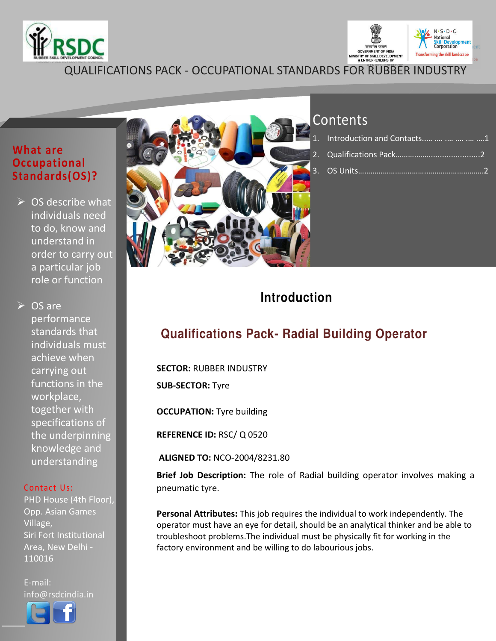



**QUALIFICATIONS PACK - OCCUPATIONAL STANDARDS FOR RUBBER INDUSTRY** 

### **What are Occupational** Standards(OS)?

 $\triangleright$  OS describe what individuals need to do, know and understand in order to carry out a particular job role or function

 $\triangleright$  OS are performance standards that individuals must achieve when carrying out functions in the workplace, together with specifications of the underpinning knowledge and understanding

#### Contact Us:

PHD House (4th Floor), Opp. Asian Games Village. Siri Fort Institutional Area, New Delhi -110016

E-mail: info@rsdcindia.in





## Contents

| . Introduction and Contacts      1 |  |
|------------------------------------|--|
|                                    |  |
|                                    |  |

## **Introduction**

## **Qualifications Pack- Radial Building Operator**

**SECTOR: RUBBER INDUSTRY** 

**SUB-SECTOR: Tyre** 

**OCCUPATION:** Tyre building

REFERENCE ID: RSC/ Q 0520

ALIGNED TO: NCO-2004/8231.80

Brief Job Description: The role of Radial building operator involves making a pneumatic tyre.

Personal Attributes: This job requires the individual to work independently. The operator must have an eye for detail, should be an analytical thinker and be able to troubleshoot problems. The individual must be physically fit for working in the factory environment and be willing to do labourious jobs.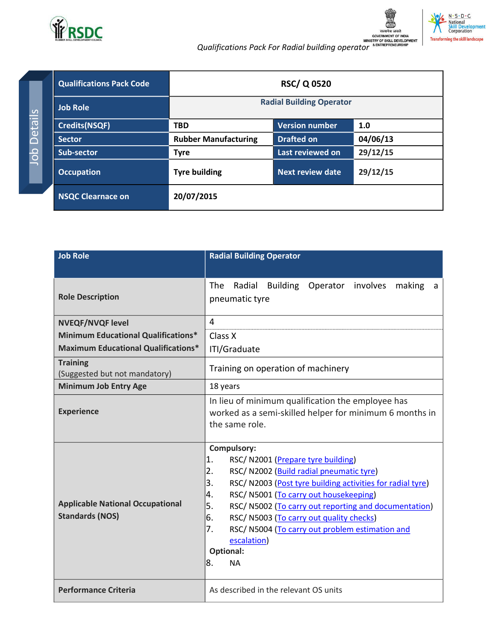

Job Details

.<br>यमेव जयते

| <b>Qualifications Pack Code</b> | <b>RSC/Q0520</b>                |                         |          |
|---------------------------------|---------------------------------|-------------------------|----------|
| <b>Job Role</b>                 | <b>Radial Building Operator</b> |                         |          |
| <b>Credits(NSQF)</b>            | <b>TBD</b>                      | <b>Version number</b>   | 1.0      |
| <b>Sector</b>                   | <b>Rubber Manufacturing</b>     | <b>Drafted on</b>       | 04/06/13 |
| <b>Sub-sector</b>               | <b>Tyre</b>                     | Last reviewed on        | 29/12/15 |
| <b>Occupation</b>               | <b>Tyre building</b>            | <b>Next review date</b> | 29/12/15 |
| <b>NSQC Clearnace on</b>        | 20/07/2015                      |                         |          |

| <b>Job Role</b>                                                   | <b>Radial Building Operator</b>                                                                                                                                                                                                                                                                                                                                                                                                                                  |  |  |
|-------------------------------------------------------------------|------------------------------------------------------------------------------------------------------------------------------------------------------------------------------------------------------------------------------------------------------------------------------------------------------------------------------------------------------------------------------------------------------------------------------------------------------------------|--|--|
|                                                                   |                                                                                                                                                                                                                                                                                                                                                                                                                                                                  |  |  |
| <b>Role Description</b>                                           | Radial Building Operator involves<br>The<br>making<br>a<br>pneumatic tyre                                                                                                                                                                                                                                                                                                                                                                                        |  |  |
| <b>NVEQF/NVQF level</b>                                           | 4                                                                                                                                                                                                                                                                                                                                                                                                                                                                |  |  |
| <b>Minimum Educational Qualifications*</b>                        | Class X                                                                                                                                                                                                                                                                                                                                                                                                                                                          |  |  |
| <b>Maximum Educational Qualifications*</b>                        | ITI/Graduate                                                                                                                                                                                                                                                                                                                                                                                                                                                     |  |  |
| <b>Training</b><br>(Suggested but not mandatory)                  | Training on operation of machinery                                                                                                                                                                                                                                                                                                                                                                                                                               |  |  |
| <b>Minimum Job Entry Age</b>                                      | 18 years                                                                                                                                                                                                                                                                                                                                                                                                                                                         |  |  |
| <b>Experience</b>                                                 | In lieu of minimum qualification the employee has<br>worked as a semi-skilled helper for minimum 6 months in<br>the same role.                                                                                                                                                                                                                                                                                                                                   |  |  |
| <b>Applicable National Occupational</b><br><b>Standards (NOS)</b> | <b>Compulsory:</b><br>1.<br>RSC/N2001 (Prepare tyre building)<br>2.<br>RSC/ N2002 (Build radial pneumatic tyre)<br>3.<br>RSC/N2003 (Post tyre building activities for radial tyre)<br>RSC/ N5001 (To carry out housekeeping)<br>4.<br>5.<br>RSC/N5002 (To carry out reporting and documentation)<br>6.<br>RSC/ N5003 (To carry out quality checks)<br>7.<br>RSC/N5004 (To carry out problem estimation and<br>escalation)<br><b>Optional:</b><br>8.<br><b>NA</b> |  |  |
| <b>Performance Criteria</b>                                       | As described in the relevant OS units                                                                                                                                                                                                                                                                                                                                                                                                                            |  |  |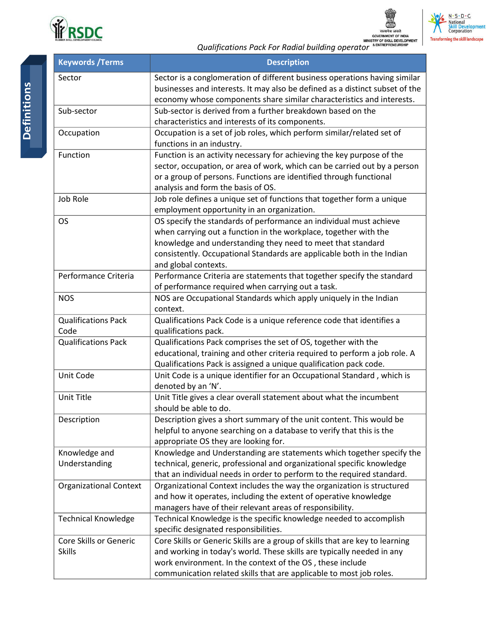



|                                         | सत्यमेव जयते<br><b>GOVERNMENT OF INDIA</b><br>MINISTRY OF SKILL DEVELOPMENT<br><b>ENTREPRENEURSHIP</b><br>Qualifications Pack For Radial building operator                                                                                                                                              |
|-----------------------------------------|---------------------------------------------------------------------------------------------------------------------------------------------------------------------------------------------------------------------------------------------------------------------------------------------------------|
| <b>Keywords / Terms</b>                 | <b>Description</b>                                                                                                                                                                                                                                                                                      |
| Sector                                  | Sector is a conglomeration of different business operations having similar<br>businesses and interests. It may also be defined as a distinct subset of the<br>economy whose components share similar characteristics and interests.                                                                     |
| Sub-sector                              | Sub-sector is derived from a further breakdown based on the<br>characteristics and interests of its components.                                                                                                                                                                                         |
| Occupation                              | Occupation is a set of job roles, which perform similar/related set of<br>functions in an industry.                                                                                                                                                                                                     |
| Function                                | Function is an activity necessary for achieving the key purpose of the<br>sector, occupation, or area of work, which can be carried out by a person<br>or a group of persons. Functions are identified through functional<br>analysis and form the basis of OS.                                         |
| Job Role                                | Job role defines a unique set of functions that together form a unique<br>employment opportunity in an organization.                                                                                                                                                                                    |
| <b>OS</b>                               | OS specify the standards of performance an individual must achieve<br>when carrying out a function in the workplace, together with the<br>knowledge and understanding they need to meet that standard<br>consistently. Occupational Standards are applicable both in the Indian<br>and global contexts. |
| Performance Criteria                    | Performance Criteria are statements that together specify the standard<br>of performance required when carrying out a task.                                                                                                                                                                             |
| <b>NOS</b>                              | NOS are Occupational Standards which apply uniquely in the Indian<br>context.                                                                                                                                                                                                                           |
| <b>Qualifications Pack</b><br>Code      | Qualifications Pack Code is a unique reference code that identifies a<br>qualifications pack.                                                                                                                                                                                                           |
| <b>Qualifications Pack</b>              | Qualifications Pack comprises the set of OS, together with the<br>educational, training and other criteria required to perform a job role. A<br>Qualifications Pack is assigned a unique qualification pack code.                                                                                       |
| Unit Code                               | Unit Code is a unique identifier for an Occupational Standard, which is<br>denoted by an 'N'.                                                                                                                                                                                                           |
| Unit Title                              | Unit Title gives a clear overall statement about what the incumbent<br>should be able to do.                                                                                                                                                                                                            |
| Description                             | Description gives a short summary of the unit content. This would be<br>helpful to anyone searching on a database to verify that this is the<br>appropriate OS they are looking for.                                                                                                                    |
| Knowledge and<br>Understanding          | Knowledge and Understanding are statements which together specify the<br>technical, generic, professional and organizational specific knowledge<br>that an individual needs in order to perform to the required standard.                                                                               |
| <b>Organizational Context</b>           | Organizational Context includes the way the organization is structured<br>and how it operates, including the extent of operative knowledge<br>managers have of their relevant areas of responsibility.                                                                                                  |
| <b>Technical Knowledge</b>              | Technical Knowledge is the specific knowledge needed to accomplish<br>specific designated responsibilities.                                                                                                                                                                                             |
| Core Skills or Generic<br><b>Skills</b> | Core Skills or Generic Skills are a group of skills that are key to learning<br>and working in today's world. These skills are typically needed in any<br>work environment. In the context of the OS, these include<br>communication related skills that are applicable to most job roles.              |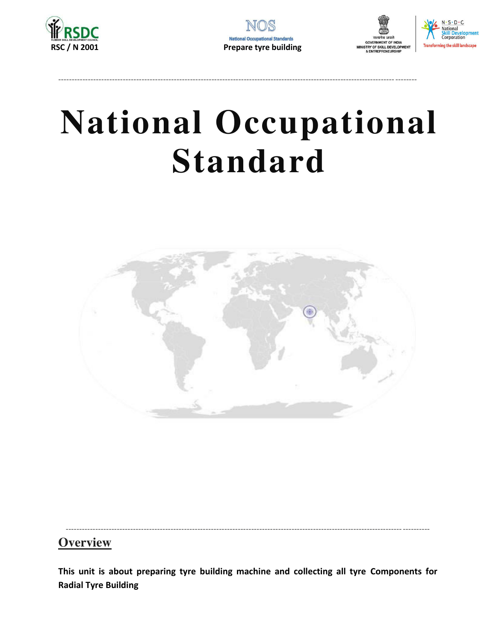





## **National Occupational Standard**



### **Overview**

This unit is about preparing tyre building machine and collecting all tyre Components for **Radial Tyre Building**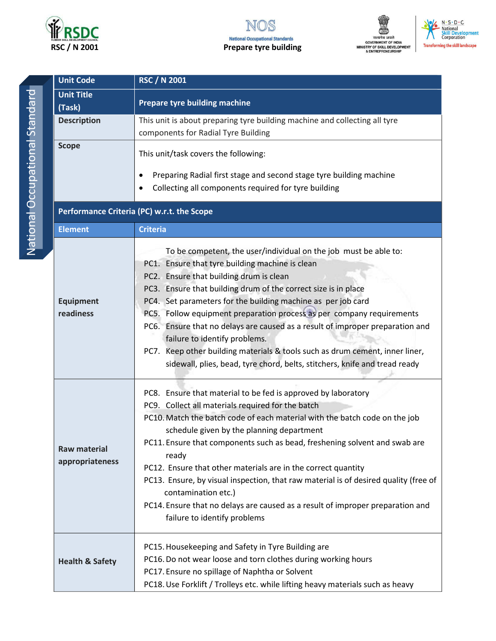

#### NOS **National Occupational Standards Prepare tyre building**





| <b>Unit Code</b>                       | <b>RSC / N 2001</b>                                                                                                                                                                                                                                                                                                                                                                                                                                                                                                                                                                                                                                       |  |  |
|----------------------------------------|-----------------------------------------------------------------------------------------------------------------------------------------------------------------------------------------------------------------------------------------------------------------------------------------------------------------------------------------------------------------------------------------------------------------------------------------------------------------------------------------------------------------------------------------------------------------------------------------------------------------------------------------------------------|--|--|
| <b>Unit Title</b><br>(Task)            | <b>Prepare tyre building machine</b>                                                                                                                                                                                                                                                                                                                                                                                                                                                                                                                                                                                                                      |  |  |
| <b>Description</b>                     | This unit is about preparing tyre building machine and collecting all tyre<br>components for Radial Tyre Building                                                                                                                                                                                                                                                                                                                                                                                                                                                                                                                                         |  |  |
| <b>Scope</b>                           | This unit/task covers the following:<br>Preparing Radial first stage and second stage tyre building machine<br>Collecting all components required for tyre building                                                                                                                                                                                                                                                                                                                                                                                                                                                                                       |  |  |
|                                        | Performance Criteria (PC) w.r.t. the Scope                                                                                                                                                                                                                                                                                                                                                                                                                                                                                                                                                                                                                |  |  |
| <b>Element</b>                         | <b>Criteria</b>                                                                                                                                                                                                                                                                                                                                                                                                                                                                                                                                                                                                                                           |  |  |
| <b>Equipment</b><br>readiness          | To be competent, the user/individual on the job must be able to:<br>PC1. Ensure that tyre building machine is clean<br>PC2. Ensure that building drum is clean<br>PC3. Ensure that building drum of the correct size is in place<br>PC4. Set parameters for the building machine as per job card<br>PC5. Follow equipment preparation process as per company requirements<br>PC6. Ensure that no delays are caused as a result of improper preparation and<br>failure to identify problems.<br>PC7. Keep other building materials & tools such as drum cement, inner liner,<br>sidewall, plies, bead, tyre chord, belts, stitchers, knife and tread ready |  |  |
| <b>Raw material</b><br>appropriateness | PC8. Ensure that material to be fed is approved by laboratory<br>PC9. Collect all materials required for the batch<br>PC10. Match the batch code of each material with the batch code on the job<br>schedule given by the planning department<br>PC11. Ensure that components such as bead, freshening solvent and swab are<br>ready<br>PC12. Ensure that other materials are in the correct quantity<br>PC13. Ensure, by visual inspection, that raw material is of desired quality (free of<br>contamination etc.)<br>PC14. Ensure that no delays are caused as a result of improper preparation and<br>failure to identify problems                    |  |  |
| <b>Health &amp; Safety</b>             | PC15. Housekeeping and Safety in Tyre Building are<br>PC16. Do not wear loose and torn clothes during working hours<br>PC17. Ensure no spillage of Naphtha or Solvent<br>PC18. Use Forklift / Trolleys etc. while lifting heavy materials such as heavy                                                                                                                                                                                                                                                                                                                                                                                                   |  |  |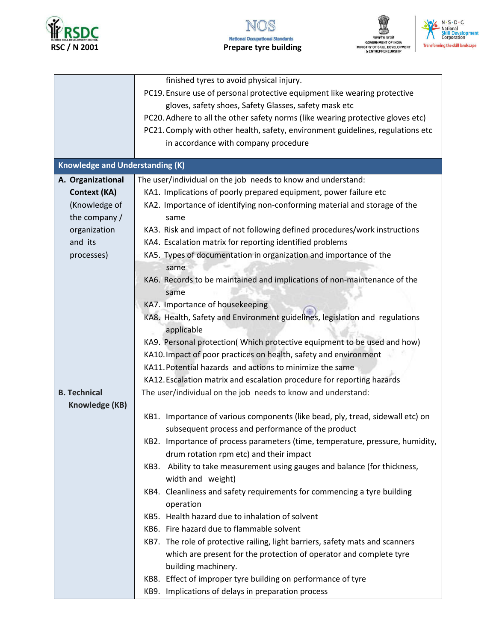





|                                        | finished tyres to avoid physical injury.                                          |
|----------------------------------------|-----------------------------------------------------------------------------------|
|                                        | PC19. Ensure use of personal protective equipment like wearing protective         |
|                                        | gloves, safety shoes, Safety Glasses, safety mask etc                             |
|                                        | PC20. Adhere to all the other safety norms (like wearing protective gloves etc)   |
|                                        | PC21. Comply with other health, safety, environment guidelines, regulations etc   |
|                                        | in accordance with company procedure                                              |
|                                        |                                                                                   |
| <b>Knowledge and Understanding (K)</b> |                                                                                   |
| A. Organizational                      | The user/individual on the job needs to know and understand:                      |
| <b>Context (KA)</b>                    | KA1. Implications of poorly prepared equipment, power failure etc                 |
| (Knowledge of                          | KA2. Importance of identifying non-conforming material and storage of the         |
| the company /                          | same                                                                              |
| organization                           | KA3. Risk and impact of not following defined procedures/work instructions        |
| and its                                | KA4. Escalation matrix for reporting identified problems                          |
| processes)                             | KA5. Types of documentation in organization and importance of the                 |
|                                        | same                                                                              |
|                                        | KA6. Records to be maintained and implications of non-maintenance of the          |
|                                        | same                                                                              |
|                                        | KA7. Importance of housekeeping                                                   |
|                                        | KA8. Health, Safety and Environment guidelines, legislation and regulations       |
|                                        | applicable                                                                        |
|                                        | KA9. Personal protection(Which protective equipment to be used and how)           |
|                                        | KA10. Impact of poor practices on health, safety and environment                  |
|                                        | KA11. Potential hazards and actions to minimize the same                          |
|                                        | KA12. Escalation matrix and escalation procedure for reporting hazards            |
| <b>B. Technical</b>                    | The user/individual on the job needs to know and understand:                      |
| Knowledge (KB)                         |                                                                                   |
|                                        | Importance of various components (like bead, ply, tread, sidewall etc) on<br>KB1. |
|                                        | subsequent process and performance of the product                                 |
|                                        | KB2. Importance of process parameters (time, temperature, pressure, humidity,     |
|                                        | drum rotation rpm etc) and their impact                                           |
|                                        | KB3. Ability to take measurement using gauges and balance (for thickness,         |
|                                        | width and weight)                                                                 |
|                                        | KB4. Cleanliness and safety requirements for commencing a tyre building           |
|                                        | operation                                                                         |
|                                        | KB5. Health hazard due to inhalation of solvent                                   |
|                                        | KB6. Fire hazard due to flammable solvent                                         |
|                                        | KB7. The role of protective railing, light barriers, safety mats and scanners     |
|                                        |                                                                                   |
|                                        | which are present for the protection of operator and complete tyre                |
|                                        | building machinery.                                                               |
|                                        | KB8. Effect of improper tyre building on performance of tyre                      |
|                                        | KB9. Implications of delays in preparation process                                |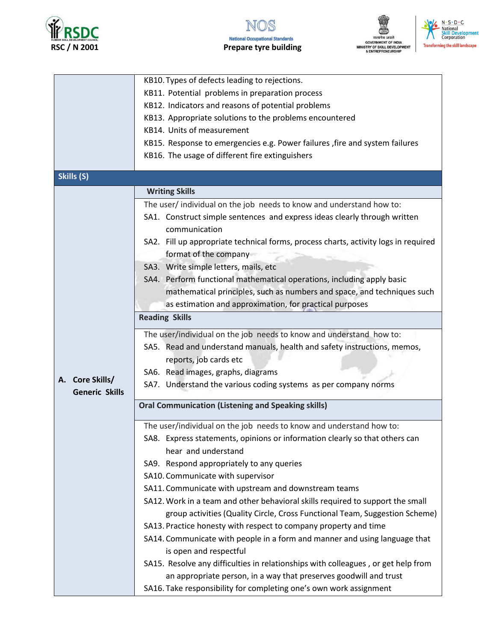





|                                                           | KB10. Types of defects leading to rejections.                                                                |  |  |  |
|-----------------------------------------------------------|--------------------------------------------------------------------------------------------------------------|--|--|--|
|                                                           | KB11. Potential problems in preparation process                                                              |  |  |  |
|                                                           | KB12. Indicators and reasons of potential problems                                                           |  |  |  |
|                                                           | KB13. Appropriate solutions to the problems encountered                                                      |  |  |  |
|                                                           | KB14. Units of measurement                                                                                   |  |  |  |
|                                                           | KB15. Response to emergencies e.g. Power failures, fire and system failures                                  |  |  |  |
|                                                           | KB16. The usage of different fire extinguishers                                                              |  |  |  |
| Skills (S)                                                |                                                                                                              |  |  |  |
|                                                           | <b>Writing Skills</b>                                                                                        |  |  |  |
|                                                           | The user/ individual on the job needs to know and understand how to:                                         |  |  |  |
|                                                           | SA1. Construct simple sentences and express ideas clearly through written<br>communication                   |  |  |  |
|                                                           | SA2. Fill up appropriate technical forms, process charts, activity logs in required<br>format of the company |  |  |  |
|                                                           | SA3. Write simple letters, mails, etc                                                                        |  |  |  |
|                                                           | SA4. Perform functional mathematical operations, including apply basic                                       |  |  |  |
|                                                           | mathematical principles, such as numbers and space, and techniques such                                      |  |  |  |
|                                                           | as estimation and approximation, for practical purposes                                                      |  |  |  |
|                                                           | <b>Reading Skills</b>                                                                                        |  |  |  |
|                                                           | The user/individual on the job needs to know and understand how to:                                          |  |  |  |
|                                                           | SA5. Read and understand manuals, health and safety instructions, memos,                                     |  |  |  |
|                                                           | reports, job cards etc                                                                                       |  |  |  |
|                                                           | SA6. Read images, graphs, diagrams                                                                           |  |  |  |
| A. Core Skills/<br><b>Generic Skills</b>                  | SA7. Understand the various coding systems as per company norms                                              |  |  |  |
| <b>Oral Communication (Listening and Speaking skills)</b> |                                                                                                              |  |  |  |
|                                                           | The user/individual on the job needs to know and understand how to:                                          |  |  |  |
|                                                           | SA8. Express statements, opinions or information clearly so that others can                                  |  |  |  |
|                                                           | hear and understand                                                                                          |  |  |  |
|                                                           | SA9. Respond appropriately to any queries                                                                    |  |  |  |
|                                                           | SA10. Communicate with supervisor                                                                            |  |  |  |
|                                                           | SA11. Communicate with upstream and downstream teams                                                         |  |  |  |
|                                                           | SA12. Work in a team and other behavioral skills required to support the small                               |  |  |  |
|                                                           | group activities (Quality Circle, Cross Functional Team, Suggestion Scheme)                                  |  |  |  |
|                                                           | SA13. Practice honesty with respect to company property and time                                             |  |  |  |
|                                                           | SA14. Communicate with people in a form and manner and using language that<br>is open and respectful         |  |  |  |
|                                                           | SA15. Resolve any difficulties in relationships with colleagues, or get help from                            |  |  |  |
|                                                           | an appropriate person, in a way that preserves goodwill and trust                                            |  |  |  |
|                                                           | SA16. Take responsibility for completing one's own work assignment                                           |  |  |  |
|                                                           |                                                                                                              |  |  |  |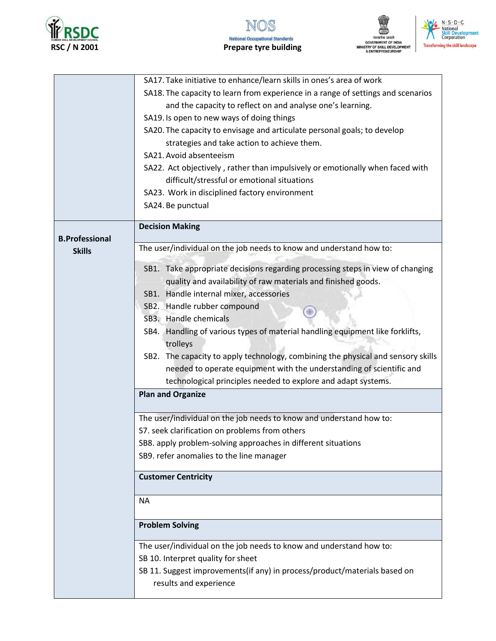





|                       | SA17. Take initiative to enhance/learn skills in ones's area of work                      |
|-----------------------|-------------------------------------------------------------------------------------------|
|                       |                                                                                           |
|                       | SA18. The capacity to learn from experience in a range of settings and scenarios          |
|                       | and the capacity to reflect on and analyse one's learning.                                |
|                       | SA19. Is open to new ways of doing things                                                 |
|                       | SA20. The capacity to envisage and articulate personal goals; to develop                  |
|                       | strategies and take action to achieve them.                                               |
|                       | SA21. Avoid absenteeism                                                                   |
|                       | SA22. Act objectively, rather than impulsively or emotionally when faced with             |
|                       | difficult/stressful or emotional situations                                               |
|                       | SA23. Work in disciplined factory environment                                             |
|                       |                                                                                           |
|                       | SA24. Be punctual                                                                         |
| <b>B.Professional</b> | <b>Decision Making</b>                                                                    |
| <b>Skills</b>         | The user/individual on the job needs to know and understand how to:                       |
|                       | SB1. Take appropriate decisions regarding processing steps in view of changing            |
|                       | quality and availability of raw materials and finished goods.                             |
|                       | SB1. Handle internal mixer, accessories                                                   |
|                       | SB2. Handle rubber compound                                                               |
|                       | SB3. Handle chemicals                                                                     |
|                       |                                                                                           |
|                       | SB4. Handling of various types of material handling equipment like forklifts,<br>trolleys |
|                       | SB2. The capacity to apply technology, combining the physical and sensory skills          |
|                       | needed to operate equipment with the understanding of scientific and                      |
|                       | technological principles needed to explore and adapt systems.                             |
|                       | <b>Plan and Organize</b>                                                                  |
|                       |                                                                                           |
|                       | The user/individual on the job needs to know and understand how to:                       |
|                       | S7. seek clarification on problems from others                                            |
|                       | SB8. apply problem-solving approaches in different situations                             |
|                       | SB9. refer anomalies to the line manager                                                  |
|                       | <b>Customer Centricity</b>                                                                |
|                       |                                                                                           |
|                       | <b>NA</b>                                                                                 |
|                       | <b>Problem Solving</b>                                                                    |
|                       | The user/individual on the job needs to know and understand how to:                       |
|                       | SB 10. Interpret quality for sheet                                                        |
|                       | SB 11. Suggest improvements(if any) in process/product/materials based on                 |
|                       | results and experience                                                                    |
|                       |                                                                                           |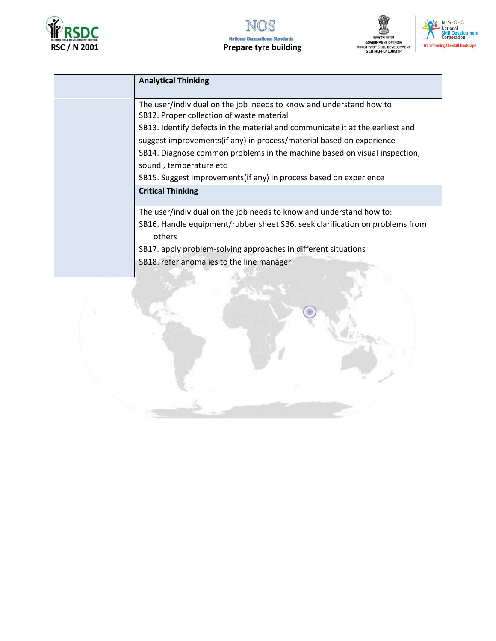





| <b>Analytical Thinking</b>                                                    |
|-------------------------------------------------------------------------------|
|                                                                               |
| The user/individual on the job needs to know and understand how to:           |
| SB12. Proper collection of waste material                                     |
| SB13. Identify defects in the material and communicate it at the earliest and |
| suggest improvements (if any) in process/material based on experience         |
| SB14. Diagnose common problems in the machine based on visual inspection,     |
| sound, temperature etc                                                        |
| SB15. Suggest improvements (if any) in process based on experience            |
| <b>Critical Thinking</b>                                                      |
| The user/individual on the job needs to know and understand how to:           |
| SB16. Handle equipment/rubber sheet SB6. seek clarification on problems from  |
|                                                                               |
| SB17. apply problem-solving approaches in different situations                |
| SB18. refer anomalies to the line manager                                     |
|                                                                               |

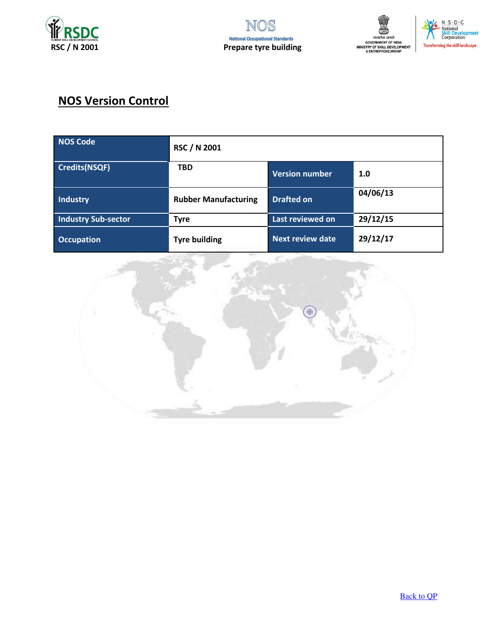





## **NOS Version Control**

| NOS Code                   | <b>RSC / N 2001</b>         |                       |          |
|----------------------------|-----------------------------|-----------------------|----------|
| <b>Credits(NSQF)</b>       | <b>TBD</b>                  | <b>Version number</b> | 1.0      |
| Industry                   | <b>Rubber Manufacturing</b> | <b>Drafted on</b>     | 04/06/13 |
| <b>Industry Sub-sector</b> | <b>Tyre</b>                 | Last reviewed on      | 29/12/15 |
| <b>Occupation</b>          | <b>Tyre building</b>        | Next review date      | 29/12/17 |

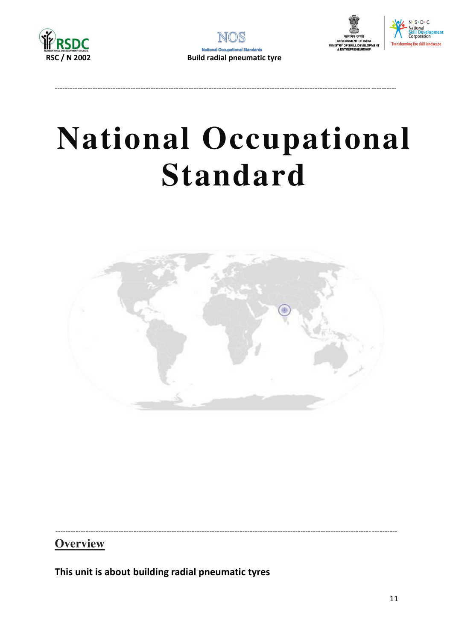







## **National Occupational Standard**



**Overview** 

This unit is about building radial pneumatic tyres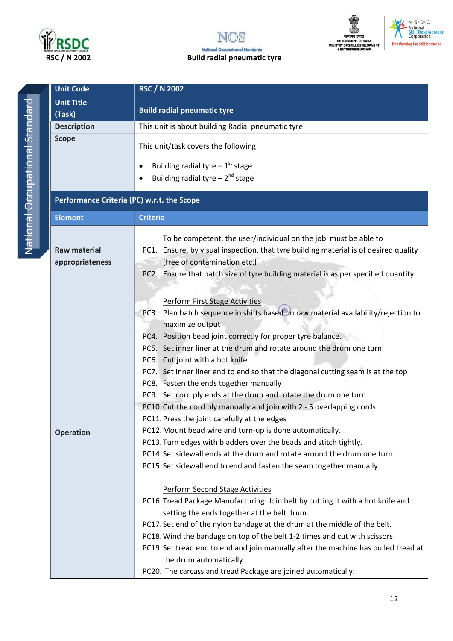





National Occupational Standard

| <b>Unit Code</b>                           | <b>RSC / N 2002</b>                                                                                                                                                                                                                                                                                                                                                                                                                                                                                                                                                                                                                                                                                                                                                                                                                                                                                                                                                                                                                                                                                                                                                                                                                                                                                                                                                                                                                                            |  |  |
|--------------------------------------------|----------------------------------------------------------------------------------------------------------------------------------------------------------------------------------------------------------------------------------------------------------------------------------------------------------------------------------------------------------------------------------------------------------------------------------------------------------------------------------------------------------------------------------------------------------------------------------------------------------------------------------------------------------------------------------------------------------------------------------------------------------------------------------------------------------------------------------------------------------------------------------------------------------------------------------------------------------------------------------------------------------------------------------------------------------------------------------------------------------------------------------------------------------------------------------------------------------------------------------------------------------------------------------------------------------------------------------------------------------------------------------------------------------------------------------------------------------------|--|--|
| <b>Unit Title</b><br>(Task)                | <b>Build radial pneumatic tyre</b>                                                                                                                                                                                                                                                                                                                                                                                                                                                                                                                                                                                                                                                                                                                                                                                                                                                                                                                                                                                                                                                                                                                                                                                                                                                                                                                                                                                                                             |  |  |
| <b>Description</b>                         | This unit is about building Radial pneumatic tyre                                                                                                                                                                                                                                                                                                                                                                                                                                                                                                                                                                                                                                                                                                                                                                                                                                                                                                                                                                                                                                                                                                                                                                                                                                                                                                                                                                                                              |  |  |
| <b>Scope</b>                               | This unit/task covers the following:<br>Building radial tyre $-1$ <sup>st</sup> stage<br>$\bullet$                                                                                                                                                                                                                                                                                                                                                                                                                                                                                                                                                                                                                                                                                                                                                                                                                                                                                                                                                                                                                                                                                                                                                                                                                                                                                                                                                             |  |  |
|                                            | Building radial tyre $-2^{nd}$ stage                                                                                                                                                                                                                                                                                                                                                                                                                                                                                                                                                                                                                                                                                                                                                                                                                                                                                                                                                                                                                                                                                                                                                                                                                                                                                                                                                                                                                           |  |  |
| Performance Criteria (PC) w.r.t. the Scope |                                                                                                                                                                                                                                                                                                                                                                                                                                                                                                                                                                                                                                                                                                                                                                                                                                                                                                                                                                                                                                                                                                                                                                                                                                                                                                                                                                                                                                                                |  |  |
| <b>Element</b>                             | <b>Criteria</b>                                                                                                                                                                                                                                                                                                                                                                                                                                                                                                                                                                                                                                                                                                                                                                                                                                                                                                                                                                                                                                                                                                                                                                                                                                                                                                                                                                                                                                                |  |  |
| <b>Raw material</b><br>appropriateness     | To be competent, the user/individual on the job must be able to:<br>PC1. Ensure, by visual inspection, that tyre building material is of desired quality<br>(free of contamination etc.)<br>PC2. Ensure that batch size of tyre building material is as per specified quantity                                                                                                                                                                                                                                                                                                                                                                                                                                                                                                                                                                                                                                                                                                                                                                                                                                                                                                                                                                                                                                                                                                                                                                                 |  |  |
| <b>Operation</b>                           | <b>Perform First Stage Activities</b><br>PC3. Plan batch sequence in shifts based on raw material availability/rejection to<br>maximize output<br>PC4. Position bead joint correctly for proper tyre balance.<br>PC5. Set inner liner at the drum and rotate around the drum one turn<br>PC6. Cut joint with a hot knife<br>PC7. Set inner liner end to end so that the diagonal cutting seam is at the top<br>PC8. Fasten the ends together manually<br>PC9. Set cord ply ends at the drum and rotate the drum one turn.<br>PC10. Cut the cord ply manually and join with 2 - 5 overlapping cords<br>PC11. Press the joint carefully at the edges<br>PC12. Mount bead wire and turn-up is done automatically.<br>PC13. Turn edges with bladders over the beads and stitch tightly.<br>PC14. Set sidewall ends at the drum and rotate around the drum one turn.<br>PC15. Set sidewall end to end and fasten the seam together manually.<br><b>Perform Second Stage Activities</b><br>PC16. Tread Package Manufacturing: Join belt by cutting it with a hot knife and<br>setting the ends together at the belt drum.<br>PC17. Set end of the nylon bandage at the drum at the middle of the belt.<br>PC18. Wind the bandage on top of the belt 1-2 times and cut with scissors<br>PC19. Set tread end to end and join manually after the machine has pulled tread at<br>the drum automatically<br>PC20. The carcass and tread Package are joined automatically. |  |  |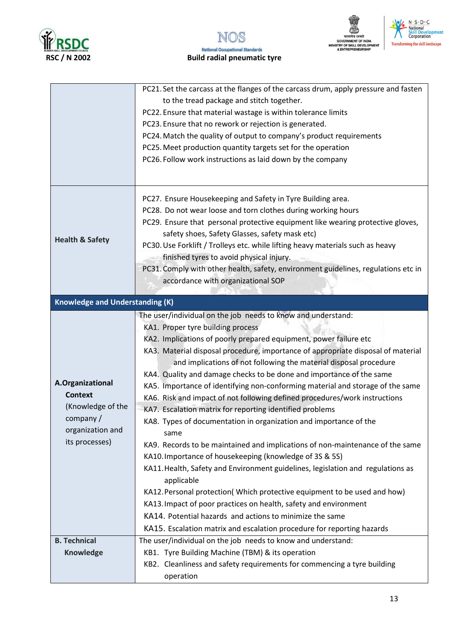





|                                        | PC21. Set the carcass at the flanges of the carcass drum, apply pressure and fasten  |
|----------------------------------------|--------------------------------------------------------------------------------------|
|                                        | to the tread package and stitch together.                                            |
|                                        | PC22. Ensure that material wastage is within tolerance limits                        |
|                                        | PC23. Ensure that no rework or rejection is generated.                               |
|                                        | PC24. Match the quality of output to company's product requirements                  |
|                                        | PC25. Meet production quantity targets set for the operation                         |
|                                        | PC26. Follow work instructions as laid down by the company                           |
|                                        |                                                                                      |
|                                        | PC27. Ensure Housekeeping and Safety in Tyre Building area.                          |
|                                        | PC28. Do not wear loose and torn clothes during working hours                        |
|                                        | PC29. Ensure that personal protective equipment like wearing protective gloves,      |
|                                        | safety shoes, Safety Glasses, safety mask etc)                                       |
| <b>Health &amp; Safety</b>             | PC30. Use Forklift / Trolleys etc. while lifting heavy materials such as heavy       |
|                                        | finished tyres to avoid physical injury.                                             |
|                                        | PC31. Comply with other health, safety, environment guidelines, regulations etc in   |
|                                        | accordance with organizational SOP                                                   |
|                                        |                                                                                      |
| <b>Knowledge and Understanding (K)</b> |                                                                                      |
|                                        | The user/individual on the job needs to know and understand:                         |
|                                        | KA1. Proper tyre building process                                                    |
|                                        | KA2. Implications of poorly prepared equipment, power failure etc                    |
|                                        | KA3. Material disposal procedure, importance of appropriate disposal of material     |
|                                        | and implications of not following the material disposal procedure                    |
|                                        | KA4. Quality and damage checks to be done and importance of the same                 |
| A.Organizational                       | KA5. Importance of identifying non-conforming material and storage of the same       |
| <b>Context</b>                         | KA6. Risk and impact of not following defined procedures/work instructions           |
| (Knowledge of the                      | KA7. Escalation matrix for reporting identified problems                             |
| company/                               | KA8. Types of documentation in organization and importance of the                    |
| organization and                       | same                                                                                 |
| its processes)                         | KA9. Records to be maintained and implications of non-maintenance of the same        |
|                                        | KA10. Importance of housekeeping (knowledge of 3S & 5S)                              |
|                                        | KA11. Health, Safety and Environment guidelines, legislation and regulations as      |
|                                        | applicable                                                                           |
|                                        | KA12. Personal protection(Which protective equipment to be used and how)             |
|                                        | KA13. Impact of poor practices on health, safety and environment                     |
|                                        | KA14. Potential hazards and actions to minimize the same                             |
|                                        | KA15. Escalation matrix and escalation procedure for reporting hazards               |
| <b>B. Technical</b>                    | The user/individual on the job needs to know and understand:                         |
| <b>Knowledge</b>                       | KB1. Tyre Building Machine (TBM) & its operation                                     |
|                                        |                                                                                      |
|                                        | KB2. Cleanliness and safety requirements for commencing a tyre building<br>operation |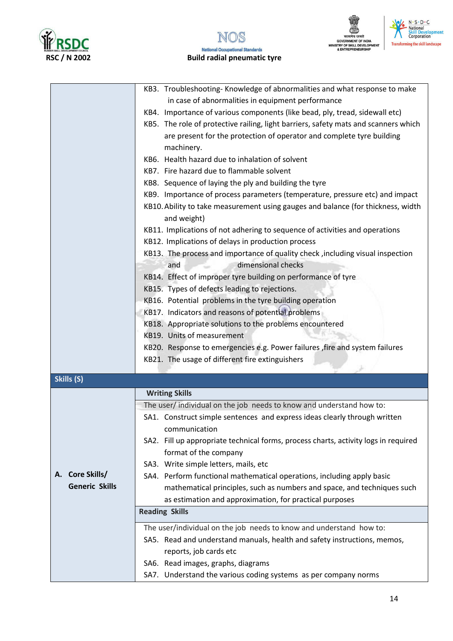





|                           | KB3. Troubleshooting-Knowledge of abnormalities and what response to make           |
|---------------------------|-------------------------------------------------------------------------------------|
|                           | in case of abnormalities in equipment performance                                   |
|                           | KB4. Importance of various components (like bead, ply, tread, sidewall etc)         |
|                           | KB5. The role of protective railing, light barriers, safety mats and scanners which |
|                           | are present for the protection of operator and complete tyre building               |
|                           | machinery.                                                                          |
|                           | KB6. Health hazard due to inhalation of solvent                                     |
|                           | KB7. Fire hazard due to flammable solvent                                           |
|                           | KB8. Sequence of laying the ply and building the tyre                               |
|                           | KB9. Importance of process parameters (temperature, pressure etc) and impact        |
|                           | KB10. Ability to take measurement using gauges and balance (for thickness, width    |
|                           | and weight)                                                                         |
|                           | KB11. Implications of not adhering to sequence of activities and operations         |
|                           | KB12. Implications of delays in production process                                  |
|                           | KB13. The process and importance of quality check, including visual inspection      |
|                           | dimensional checks<br>and                                                           |
|                           | KB14. Effect of improper tyre building on performance of tyre                       |
|                           | KB15. Types of defects leading to rejections.                                       |
|                           | KB16. Potential problems in the tyre building operation                             |
|                           | KB17. Indicators and reasons of potential problems                                  |
|                           | KB18. Appropriate solutions to the problems encountered                             |
|                           | KB19. Units of measurement                                                          |
|                           | KB20. Response to emergencies e.g. Power failures , fire and system failures        |
|                           | KB21. The usage of different fire extinguishers                                     |
|                           |                                                                                     |
| Skills (S)                |                                                                                     |
|                           | <b>Writing Skills</b>                                                               |
|                           | The user/ individual on the job needs to know and understand how to:                |
|                           | SA1. Construct simple sentences and express ideas clearly through written           |
|                           | communication                                                                       |
|                           | SA2. Fill up appropriate technical forms, process charts, activity logs in required |
|                           | format of the company                                                               |
|                           | SA3. Write simple letters, mails, etc                                               |
| <b>Core Skills/</b><br>А. | SA4. Perform functional mathematical operations, including apply basic              |
| <b>Generic Skills</b>     | mathematical principles, such as numbers and space, and techniques such             |
|                           | as estimation and approximation, for practical purposes                             |
|                           | <b>Reading Skills</b>                                                               |
|                           | The user/individual on the job needs to know and understand how to:                 |
|                           | SA5. Read and understand manuals, health and safety instructions, memos,            |
|                           | reports, job cards etc                                                              |
|                           | SA6. Read images, graphs, diagrams                                                  |
|                           |                                                                                     |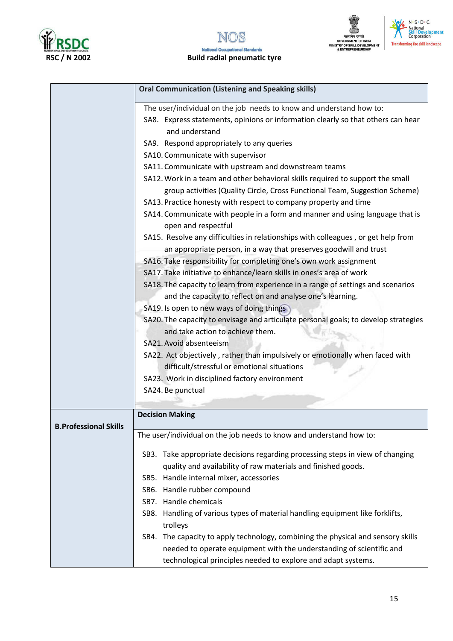





|                              | <b>Oral Communication (Listening and Speaking skills)</b>                                            |
|------------------------------|------------------------------------------------------------------------------------------------------|
|                              | The user/individual on the job needs to know and understand how to:                                  |
|                              | SA8. Express statements, opinions or information clearly so that others can hear                     |
|                              | and understand                                                                                       |
|                              | SA9. Respond appropriately to any queries                                                            |
|                              | SA10. Communicate with supervisor                                                                    |
|                              | SA11. Communicate with upstream and downstream teams                                                 |
|                              | SA12. Work in a team and other behavioral skills required to support the small                       |
|                              | group activities (Quality Circle, Cross Functional Team, Suggestion Scheme)                          |
|                              |                                                                                                      |
|                              | SA13. Practice honesty with respect to company property and time                                     |
|                              | SA14. Communicate with people in a form and manner and using language that is<br>open and respectful |
|                              | SA15. Resolve any difficulties in relationships with colleagues, or get help from                    |
|                              | an appropriate person, in a way that preserves goodwill and trust                                    |
|                              | SA16. Take responsibility for completing one's own work assignment                                   |
|                              | SA17. Take initiative to enhance/learn skills in ones's area of work                                 |
|                              | SA18. The capacity to learn from experience in a range of settings and scenarios                     |
|                              | and the capacity to reflect on and analyse one's learning.                                           |
|                              | SA19. Is open to new ways of doing things                                                            |
|                              | SA20. The capacity to envisage and articulate personal goals; to develop strategies                  |
|                              | and take action to achieve them.                                                                     |
|                              | SA21. Avoid absenteeism                                                                              |
|                              | SA22. Act objectively, rather than impulsively or emotionally when faced with                        |
|                              | difficult/stressful or emotional situations                                                          |
|                              | SA23. Work in disciplined factory environment                                                        |
|                              | SA24. Be punctual                                                                                    |
|                              |                                                                                                      |
|                              | <b>Decision Making</b>                                                                               |
| <b>B.Professional Skills</b> |                                                                                                      |
|                              | The user/individual on the job needs to know and understand how to:                                  |
|                              | SB3. Take appropriate decisions regarding processing steps in view of changing                       |
|                              | quality and availability of raw materials and finished goods.                                        |
|                              | SB5. Handle internal mixer, accessories                                                              |
|                              | SB6. Handle rubber compound                                                                          |
|                              | SB7. Handle chemicals                                                                                |
|                              | SB8. Handling of various types of material handling equipment like forklifts,                        |
|                              | trolleys                                                                                             |
|                              | SB4. The capacity to apply technology, combining the physical and sensory skills                     |
|                              | needed to operate equipment with the understanding of scientific and                                 |
|                              | technological principles needed to explore and adapt systems.                                        |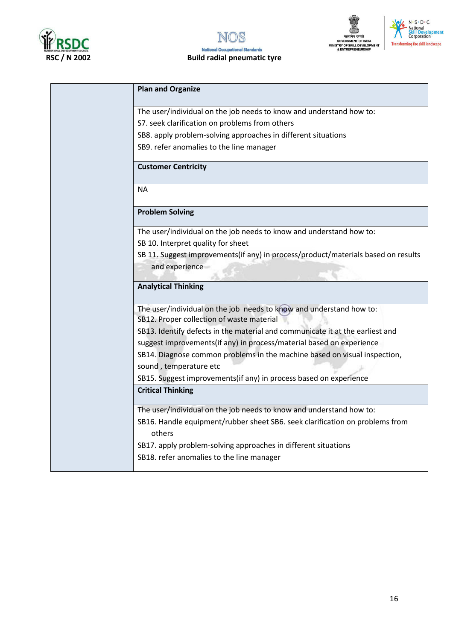







| <b>Plan and Organize</b>                                                                                         |
|------------------------------------------------------------------------------------------------------------------|
| The user/individual on the job needs to know and understand how to:                                              |
| S7. seek clarification on problems from others                                                                   |
| SB8. apply problem-solving approaches in different situations                                                    |
| SB9. refer anomalies to the line manager                                                                         |
| <b>Customer Centricity</b>                                                                                       |
| <b>NA</b>                                                                                                        |
| <b>Problem Solving</b>                                                                                           |
| The user/individual on the job needs to know and understand how to:                                              |
| SB 10. Interpret quality for sheet                                                                               |
| SB 11. Suggest improvements(if any) in process/product/materials based on results                                |
| and experience                                                                                                   |
| <b>Analytical Thinking</b>                                                                                       |
|                                                                                                                  |
| The user/individual on the job needs to know and understand how to:<br>SB12. Proper collection of waste material |
| SB13. Identify defects in the material and communicate it at the earliest and                                    |
| suggest improvements(if any) in process/material based on experience                                             |
| SB14. Diagnose common problems in the machine based on visual inspection,                                        |
| sound, temperature etc                                                                                           |
| SB15. Suggest improvements(if any) in process based on experience                                                |
| <b>Critical Thinking</b>                                                                                         |
| The user/individual on the job needs to know and understand how to:                                              |
| SB16. Handle equipment/rubber sheet SB6. seek clarification on problems from                                     |
| others                                                                                                           |
| SB17. apply problem-solving approaches in different situations                                                   |
| SB18. refer anomalies to the line manager                                                                        |
|                                                                                                                  |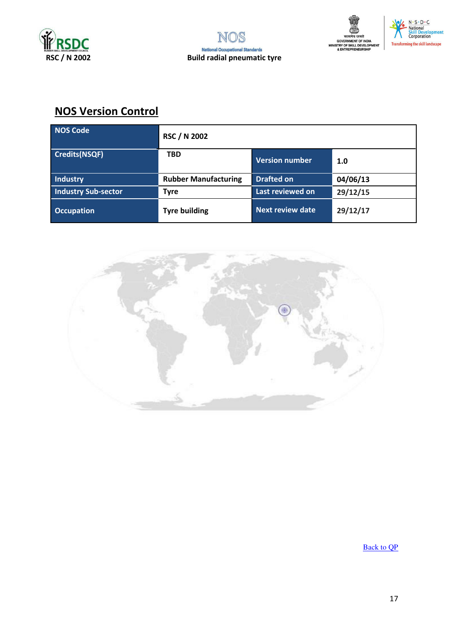





## **NOS Version Control**

| <b>NOS Code</b>            | <b>RSC / N 2002</b>         |                         |          |
|----------------------------|-----------------------------|-------------------------|----------|
| <b>Credits(NSQF)</b>       | <b>TBD</b>                  | <b>Version number</b>   | 1.0      |
| <b>Industry</b>            | <b>Rubber Manufacturing</b> | <b>Drafted on</b>       | 04/06/13 |
| <b>Industry Sub-sector</b> | <b>Tyre</b>                 | Last reviewed on        | 29/12/15 |
| <b>Occupation</b>          | <b>Tyre building</b>        | <b>Next review date</b> | 29/12/17 |



**Back to OP**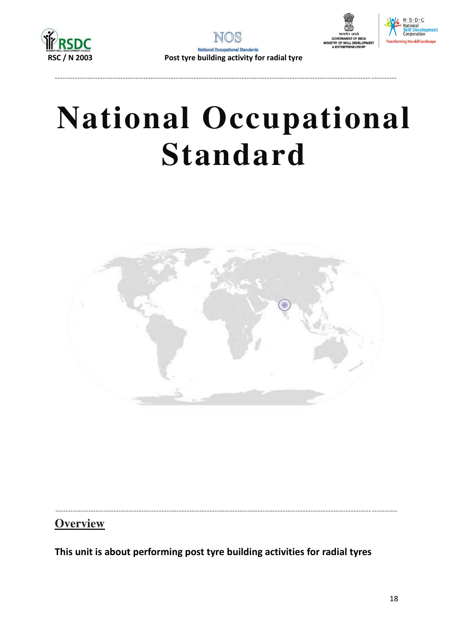





## **National Occupational Standard**



**Overview** 

This unit is about performing post tyre building activities for radial tyres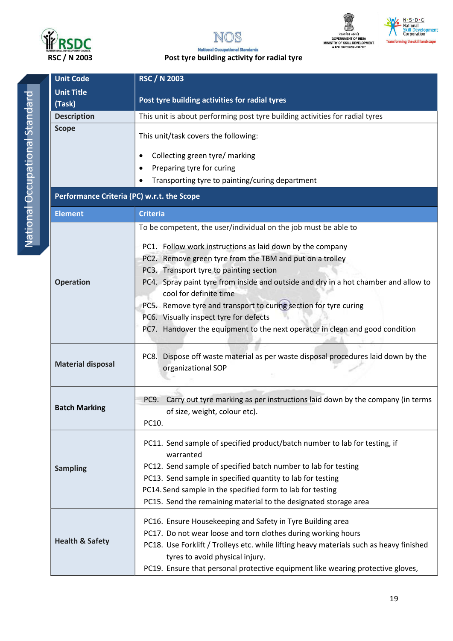





N · S · D · C<br>| National<br>| Skill\_Development<br>| Corporation

#### **National Occupational Standards** Post tyre building activity for radial tyre

| <b>Unit Code</b>                           | <b>RSC / N 2003</b>                                                                                     |  |  |
|--------------------------------------------|---------------------------------------------------------------------------------------------------------|--|--|
| <b>Unit Title</b>                          | Post tyre building activities for radial tyres                                                          |  |  |
| (Task)                                     |                                                                                                         |  |  |
| <b>Description</b>                         | This unit is about performing post tyre building activities for radial tyres                            |  |  |
| <b>Scope</b>                               | This unit/task covers the following:                                                                    |  |  |
|                                            | Collecting green tyre/ marking<br>$\bullet$                                                             |  |  |
|                                            | Preparing tyre for curing                                                                               |  |  |
|                                            | Transporting tyre to painting/curing department                                                         |  |  |
| Performance Criteria (PC) w.r.t. the Scope |                                                                                                         |  |  |
| <b>Element</b>                             | <b>Criteria</b>                                                                                         |  |  |
|                                            | To be competent, the user/individual on the job must be able to                                         |  |  |
|                                            | PC1. Follow work instructions as laid down by the company                                               |  |  |
|                                            | PC2. Remove green tyre from the TBM and put on a trolley                                                |  |  |
|                                            | PC3. Transport tyre to painting section                                                                 |  |  |
| <b>Operation</b>                           | PC4. Spray paint tyre from inside and outside and dry in a hot chamber and allow to                     |  |  |
|                                            | cool for definite time                                                                                  |  |  |
|                                            | PC5. Remove tyre and transport to curing section for tyre curing                                        |  |  |
|                                            | PC6. Visually inspect tyre for defects                                                                  |  |  |
|                                            | PC7. Handover the equipment to the next operator in clean and good condition                            |  |  |
|                                            |                                                                                                         |  |  |
| <b>Material disposal</b>                   | PC8. Dispose off waste material as per waste disposal procedures laid down by the<br>organizational SOP |  |  |
|                                            |                                                                                                         |  |  |
| <b>Batch Marking</b>                       | Carry out tyre marking as per instructions laid down by the company (in terms<br>PC9.                   |  |  |
|                                            | of size, weight, colour etc).                                                                           |  |  |
|                                            | PC10.                                                                                                   |  |  |
|                                            | PC11. Send sample of specified product/batch number to lab for testing, if<br>warranted                 |  |  |
| <b>Sampling</b>                            | PC12. Send sample of specified batch number to lab for testing                                          |  |  |
|                                            | PC13. Send sample in specified quantity to lab for testing                                              |  |  |
|                                            | PC14. Send sample in the specified form to lab for testing                                              |  |  |
|                                            | PC15. Send the remaining material to the designated storage area                                        |  |  |
|                                            | PC16. Ensure Housekeeping and Safety in Tyre Building area                                              |  |  |
|                                            | PC17. Do not wear loose and torn clothes during working hours                                           |  |  |
| <b>Health &amp; Safety</b>                 | PC18. Use Forklift / Trolleys etc. while lifting heavy materials such as heavy finished                 |  |  |
|                                            | tyres to avoid physical injury.                                                                         |  |  |
|                                            | PC19. Ensure that personal protective equipment like wearing protective gloves,                         |  |  |
|                                            |                                                                                                         |  |  |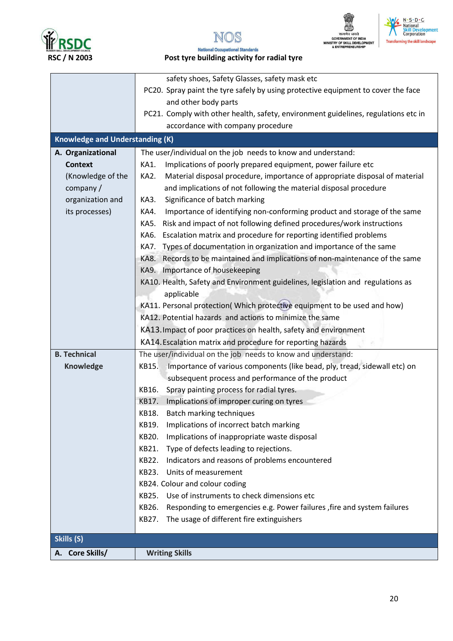







#### **National Occupational Standards** Post tyre building activity for radial tyre

|                                        | safety shoes, Safety Glasses, safety mask etc                                       |
|----------------------------------------|-------------------------------------------------------------------------------------|
|                                        | PC20. Spray paint the tyre safely by using protective equipment to cover the face   |
|                                        | and other body parts                                                                |
|                                        | PC21. Comply with other health, safety, environment guidelines, regulations etc in  |
|                                        | accordance with company procedure                                                   |
| <b>Knowledge and Understanding (K)</b> |                                                                                     |
| A. Organizational                      | The user/individual on the job needs to know and understand:                        |
| <b>Context</b>                         | KA1.<br>Implications of poorly prepared equipment, power failure etc                |
| (Knowledge of the                      | Material disposal procedure, importance of appropriate disposal of material<br>KA2. |
| company /                              | and implications of not following the material disposal procedure                   |
| organization and                       | Significance of batch marking<br>KA3.                                               |
| its processes)                         | Importance of identifying non-conforming product and storage of the same<br>KA4.    |
|                                        | Risk and impact of not following defined procedures/work instructions<br>KA5.       |
|                                        | Escalation matrix and procedure for reporting identified problems<br>KA6.           |
|                                        | Types of documentation in organization and importance of the same<br>KA7.           |
|                                        | Records to be maintained and implications of non-maintenance of the same<br>KA8.    |
|                                        | KA9. Importance of housekeeping                                                     |
|                                        | KA10. Health, Safety and Environment guidelines, legislation and regulations as     |
|                                        | applicable                                                                          |
|                                        | KA11. Personal protection( Which protective equipment to be used and how)           |
|                                        | KA12. Potential hazards and actions to minimize the same                            |
|                                        | KA13. Impact of poor practices on health, safety and environment                    |
|                                        | KA14. Escalation matrix and procedure for reporting hazards                         |
| <b>B. Technical</b>                    |                                                                                     |
|                                        | The user/individual on the job needs to know and understand:<br>KB15.               |
| Knowledge                              | Importance of various components (like bead, ply, tread, sidewall etc) on           |
|                                        | subsequent process and performance of the product                                   |
|                                        | KB16.<br>Spray painting process for radial tyres.                                   |
|                                        | Implications of improper curing on tyres<br>KB17.                                   |
|                                        | <b>Batch marking techniques</b><br>KB18.<br>Implications of incorrect batch marking |
|                                        | KB19.<br>KB20.                                                                      |
|                                        | Implications of inappropriate waste disposal<br>KB21.                               |
|                                        | Type of defects leading to rejections.                                              |
|                                        | Indicators and reasons of problems encountered<br>KB22.<br>Units of measurement     |
|                                        | KB23.                                                                               |
|                                        | KB24. Colour and colour coding<br>Use of instruments to check dimensions etc        |
|                                        | KB25.                                                                               |
|                                        | KB26.<br>Responding to emergencies e.g. Power failures, fire and system failures    |
|                                        | The usage of different fire extinguishers<br>KB27.                                  |
| Skills (S)                             |                                                                                     |
| A. Core Skills/                        | <b>Writing Skills</b>                                                               |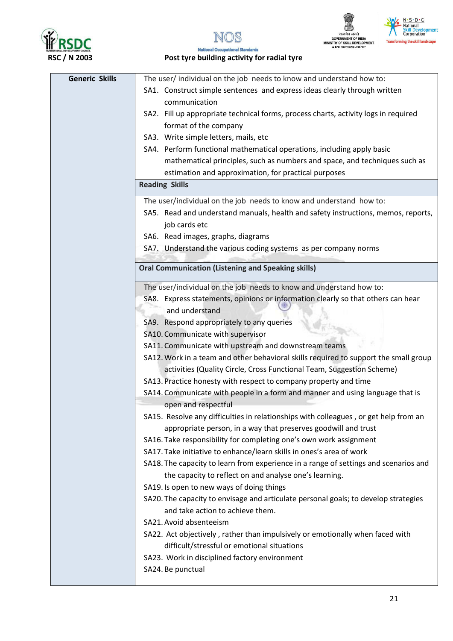







#### **National Occupational Standards** Post tyre building activity for radial tyre

| <b>Generic Skills</b> | The user/individual on the job needs to know and understand how to:                  |
|-----------------------|--------------------------------------------------------------------------------------|
|                       | SA1. Construct simple sentences and express ideas clearly through written            |
|                       | communication                                                                        |
|                       | SA2. Fill up appropriate technical forms, process charts, activity logs in required  |
|                       | format of the company                                                                |
|                       | SA3. Write simple letters, mails, etc                                                |
|                       | SA4. Perform functional mathematical operations, including apply basic               |
|                       | mathematical principles, such as numbers and space, and techniques such as           |
|                       | estimation and approximation, for practical purposes                                 |
|                       | <b>Reading Skills</b>                                                                |
|                       | The user/individual on the job needs to know and understand how to:                  |
|                       | SA5. Read and understand manuals, health and safety instructions, memos, reports,    |
|                       | job cards etc                                                                        |
|                       | SA6. Read images, graphs, diagrams                                                   |
|                       | SA7. Understand the various coding systems as per company norms                      |
|                       |                                                                                      |
|                       | <b>Oral Communication (Listening and Speaking skills)</b>                            |
|                       | The user/individual on the job needs to know and understand how to:                  |
|                       | SA8. Express statements, opinions or information clearly so that others can hear     |
|                       | and understand                                                                       |
|                       | SA9. Respond appropriately to any queries                                            |
|                       | SA10. Communicate with supervisor                                                    |
|                       | SA11. Communicate with upstream and downstream teams                                 |
|                       | SA12. Work in a team and other behavioral skills required to support the small group |
|                       | activities (Quality Circle, Cross Functional Team, Suggestion Scheme)                |
|                       | SA13. Practice honesty with respect to company property and time                     |
|                       | SA14. Communicate with people in a form and manner and using language that is        |
|                       | open and respectful                                                                  |
|                       | SA15. Resolve any difficulties in relationships with colleagues, or get help from an |
|                       | appropriate person, in a way that preserves goodwill and trust                       |
|                       | SA16. Take responsibility for completing one's own work assignment                   |
|                       | SA17. Take initiative to enhance/learn skills in ones's area of work                 |
|                       | SA18. The capacity to learn from experience in a range of settings and scenarios and |
|                       | the capacity to reflect on and analyse one's learning.                               |
|                       | SA19. Is open to new ways of doing things                                            |
|                       | SA20. The capacity to envisage and articulate personal goals; to develop strategies  |
|                       | and take action to achieve them.                                                     |
|                       | SA21. Avoid absenteeism                                                              |
|                       | SA22. Act objectively, rather than impulsively or emotionally when faced with        |
|                       | difficult/stressful or emotional situations                                          |
|                       | SA23. Work in disciplined factory environment                                        |
|                       | SA24. Be punctual                                                                    |
|                       |                                                                                      |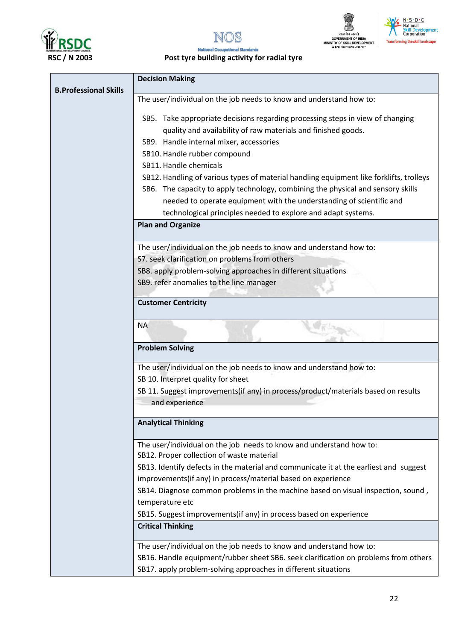







### Post tyre building activity for radial tyre

| <b>B.Professional Skills</b> | <b>Decision Making</b>                                                                                                                                                                                                                               |  |  |
|------------------------------|------------------------------------------------------------------------------------------------------------------------------------------------------------------------------------------------------------------------------------------------------|--|--|
|                              | The user/individual on the job needs to know and understand how to:                                                                                                                                                                                  |  |  |
|                              | SB5. Take appropriate decisions regarding processing steps in view of changing<br>quality and availability of raw materials and finished goods.<br>SB9. Handle internal mixer, accessories<br>SB10. Handle rubber compound<br>SB11. Handle chemicals |  |  |
|                              | SB12. Handling of various types of material handling equipment like forklifts, trolleys                                                                                                                                                              |  |  |
|                              | SB6. The capacity to apply technology, combining the physical and sensory skills<br>needed to operate equipment with the understanding of scientific and<br>technological principles needed to explore and adapt systems.                            |  |  |
|                              | <b>Plan and Organize</b>                                                                                                                                                                                                                             |  |  |
|                              | The user/individual on the job needs to know and understand how to:                                                                                                                                                                                  |  |  |
|                              | S7. seek clarification on problems from others                                                                                                                                                                                                       |  |  |
|                              | SB8. apply problem-solving approaches in different situations                                                                                                                                                                                        |  |  |
|                              | SB9. refer anomalies to the line manager                                                                                                                                                                                                             |  |  |
|                              | <b>Customer Centricity</b>                                                                                                                                                                                                                           |  |  |
|                              | <b>NA</b>                                                                                                                                                                                                                                            |  |  |
|                              | <b>Problem Solving</b>                                                                                                                                                                                                                               |  |  |
|                              | The user/individual on the job needs to know and understand how to:<br>SB 10. Interpret quality for sheet                                                                                                                                            |  |  |
|                              | SB 11. Suggest improvements(if any) in process/product/materials based on results                                                                                                                                                                    |  |  |
|                              | and experience                                                                                                                                                                                                                                       |  |  |
|                              | <b>Analytical Thinking</b>                                                                                                                                                                                                                           |  |  |
|                              | The user/individual on the job needs to know and understand how to:<br>SB12. Proper collection of waste material                                                                                                                                     |  |  |
|                              | SB13. Identify defects in the material and communicate it at the earliest and suggest                                                                                                                                                                |  |  |
|                              | improvements(if any) in process/material based on experience                                                                                                                                                                                         |  |  |
|                              | SB14. Diagnose common problems in the machine based on visual inspection, sound,                                                                                                                                                                     |  |  |
|                              | temperature etc<br>SB15. Suggest improvements(if any) in process based on experience                                                                                                                                                                 |  |  |
|                              | <b>Critical Thinking</b>                                                                                                                                                                                                                             |  |  |
|                              | The user/individual on the job needs to know and understand how to:                                                                                                                                                                                  |  |  |
|                              | SB16. Handle equipment/rubber sheet SB6. seek clarification on problems from others                                                                                                                                                                  |  |  |
|                              | SB17. apply problem-solving approaches in different situations                                                                                                                                                                                       |  |  |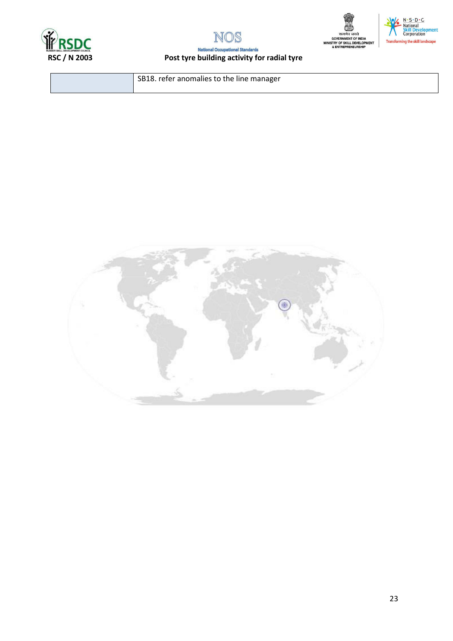







### Post tyre building activity for radial tyre

SB18. refer anomalies to the line manager

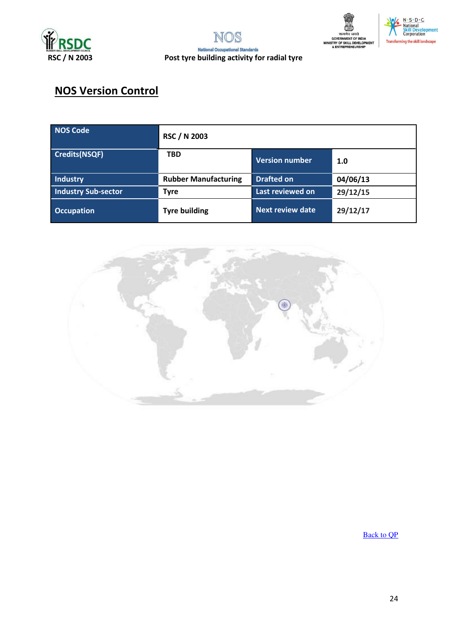





## **NOS Version Control**

| NOS Code                   | <b>RSC / N 2003</b>         |                         |          |
|----------------------------|-----------------------------|-------------------------|----------|
| Credits(NSQF)              | <b>TBD</b>                  | <b>Version number</b>   | 1.0      |
| Industry                   | <b>Rubber Manufacturing</b> | <b>Drafted on</b>       | 04/06/13 |
| <b>Industry Sub-sector</b> | <b>Tyre</b>                 | Last reviewed on        | 29/12/15 |
| <b>Occupation</b>          | <b>Tyre building</b>        | <b>Next review date</b> | 29/12/17 |



**Back to QP**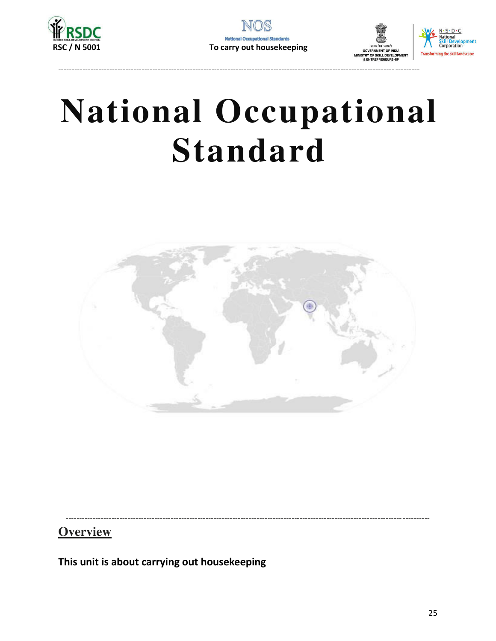





## **National Occupational Standard**



**Overview** 

This unit is about carrying out housekeeping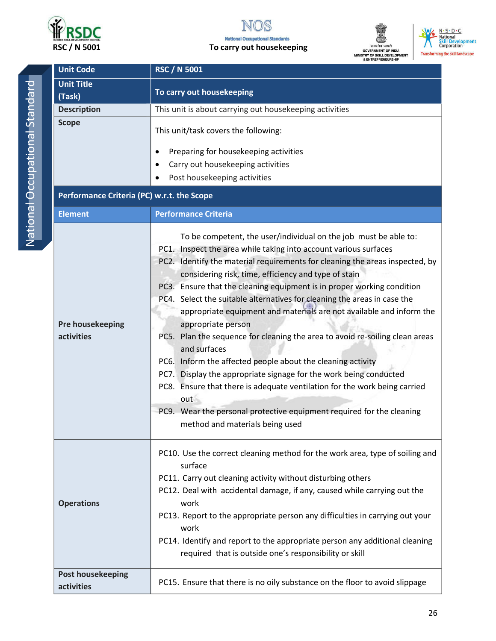

#### To carry out housekeeping





**Unit Code RSC / N 5001 Unit Title** To carry out housekeeping (Task) **Description** This unit is about carrying out housekeeping activities **Scope** This unit/task covers the following:  $\bullet$ Preparing for housekeeping activities Carry out housekeeping activities Post housekeeping activities Performance Criteria (PC) w.r.t. the Scope **Element Performance Criteria** To be competent, the user/individual on the job must be able to: PC1. Inspect the area while taking into account various surfaces PC2. Identify the material requirements for cleaning the areas inspected, by considering risk, time, efficiency and type of stain PC3. Ensure that the cleaning equipment is in proper working condition PC4. Select the suitable alternatives for cleaning the areas in case the appropriate equipment and materials are not available and inform the Pre housekeeping appropriate person activities PC5. Plan the sequence for cleaning the area to avoid re-soiling clean areas and surfaces PC6. Inform the affected people about the cleaning activity PC7. Display the appropriate signage for the work being conducted PC8. Ensure that there is adequate ventilation for the work being carried out PC9. Wear the personal protective equipment required for the cleaning method and materials being used PC10. Use the correct cleaning method for the work area, type of soiling and surface PC11. Carry out cleaning activity without disturbing others PC12. Deal with accidental damage, if any, caused while carrying out the **Operations** work PC13. Report to the appropriate person any difficulties in carrying out your work PC14. Identify and report to the appropriate person any additional cleaning required that is outside one's responsibility or skill **Post housekeeping** PC15. Ensure that there is no oily substance on the floor to avoid slippage activities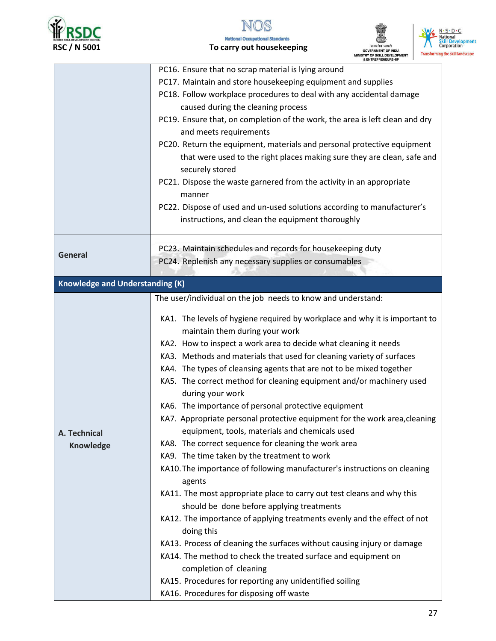



#### **National Occupational Standards** To carry out housekeeping





|                                        | & ENTREPRENEURSHIP                                                                                                  |
|----------------------------------------|---------------------------------------------------------------------------------------------------------------------|
|                                        | PC16. Ensure that no scrap material is lying around<br>PC17. Maintain and store housekeeping equipment and supplies |
|                                        | PC18. Follow workplace procedures to deal with any accidental damage                                                |
|                                        | caused during the cleaning process                                                                                  |
|                                        | PC19. Ensure that, on completion of the work, the area is left clean and dry                                        |
|                                        | and meets requirements                                                                                              |
|                                        | PC20. Return the equipment, materials and personal protective equipment                                             |
|                                        | that were used to the right places making sure they are clean, safe and<br>securely stored                          |
|                                        | PC21. Dispose the waste garnered from the activity in an appropriate<br>manner                                      |
|                                        | PC22. Dispose of used and un-used solutions according to manufacturer's                                             |
|                                        | instructions, and clean the equipment thoroughly                                                                    |
|                                        |                                                                                                                     |
|                                        | PC23. Maintain schedules and records for housekeeping duty                                                          |
| <b>General</b>                         | PC24. Replenish any necessary supplies or consumables                                                               |
|                                        |                                                                                                                     |
| <b>Knowledge and Understanding (K)</b> |                                                                                                                     |
|                                        | The user/individual on the job needs to know and understand:                                                        |
|                                        | KA1. The levels of hygiene required by workplace and why it is important to                                         |
|                                        | maintain them during your work                                                                                      |
|                                        | KA2. How to inspect a work area to decide what cleaning it needs                                                    |
|                                        | KA3. Methods and materials that used for cleaning variety of surfaces                                               |
|                                        | KA4. The types of cleansing agents that are not to be mixed together                                                |
|                                        | KA5. The correct method for cleaning equipment and/or machinery used<br>during your work                            |
|                                        | KA6. The importance of personal protective equipment                                                                |
|                                        | KA7. Appropriate personal protective equipment for the work area, cleaning                                          |
| A. Technical                           | equipment, tools, materials and chemicals used                                                                      |
| <b>Knowledge</b>                       | KA8. The correct sequence for cleaning the work area                                                                |
|                                        | KA9. The time taken by the treatment to work                                                                        |
|                                        | KA10. The importance of following manufacturer's instructions on cleaning<br>agents                                 |
|                                        | KA11. The most appropriate place to carry out test cleans and why this                                              |
|                                        | should be done before applying treatments                                                                           |
|                                        | KA12. The importance of applying treatments evenly and the effect of not                                            |
|                                        | doing this                                                                                                          |
|                                        | KA13. Process of cleaning the surfaces without causing injury or damage                                             |
|                                        | KA14. The method to check the treated surface and equipment on                                                      |
|                                        | completion of cleaning                                                                                              |
|                                        | KA15. Procedures for reporting any unidentified soiling                                                             |
|                                        | KA16. Procedures for disposing off waste                                                                            |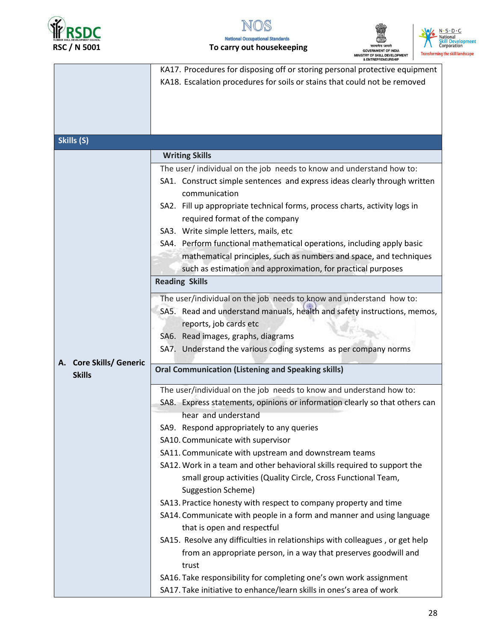



#### **National Occupational Standards** To carry out housekeeping





|                                   | & ENTREPRENEURSHIP                                                           |
|-----------------------------------|------------------------------------------------------------------------------|
|                                   | KA17. Procedures for disposing off or storing personal protective equipment  |
|                                   | KA18. Escalation procedures for soils or stains that could not be removed    |
|                                   |                                                                              |
|                                   |                                                                              |
|                                   |                                                                              |
|                                   |                                                                              |
| Skills (S)                        |                                                                              |
|                                   |                                                                              |
|                                   | <b>Writing Skills</b>                                                        |
|                                   | The user/ individual on the job needs to know and understand how to:         |
|                                   | SA1. Construct simple sentences and express ideas clearly through written    |
|                                   | communication                                                                |
|                                   | SA2. Fill up appropriate technical forms, process charts, activity logs in   |
|                                   |                                                                              |
|                                   | required format of the company                                               |
|                                   | SA3. Write simple letters, mails, etc                                        |
|                                   | SA4. Perform functional mathematical operations, including apply basic       |
|                                   | mathematical principles, such as numbers and space, and techniques           |
|                                   | such as estimation and approximation, for practical purposes                 |
|                                   | <b>Reading Skills</b>                                                        |
|                                   |                                                                              |
|                                   | The user/individual on the job needs to know and understand how to:          |
|                                   | SA5. Read and understand manuals, health and safety instructions, memos,     |
|                                   | reports, job cards etc                                                       |
|                                   | SA6. Read images, graphs, diagrams                                           |
|                                   |                                                                              |
|                                   | SA7. Understand the various coding systems as per company norms              |
| <b>Core Skills/ Generic</b><br>А. | <b>Oral Communication (Listening and Speaking skills)</b>                    |
| <b>Skills</b>                     |                                                                              |
|                                   | The user/individual on the job needs to know and understand how to:          |
|                                   | SA8. Express statements, opinions or information clearly so that others can  |
|                                   | hear and understand                                                          |
|                                   |                                                                              |
|                                   | SA9. Respond appropriately to any queries                                    |
|                                   | SA10. Communicate with supervisor                                            |
|                                   | SA11. Communicate with upstream and downstream teams                         |
|                                   | SA12. Work in a team and other behavioral skills required to support the     |
|                                   | small group activities (Quality Circle, Cross Functional Team,               |
|                                   | <b>Suggestion Scheme)</b>                                                    |
|                                   |                                                                              |
|                                   | SA13. Practice honesty with respect to company property and time             |
|                                   | SA14. Communicate with people in a form and manner and using language        |
|                                   | that is open and respectful                                                  |
|                                   | SA15. Resolve any difficulties in relationships with colleagues, or get help |
|                                   | from an appropriate person, in a way that preserves goodwill and             |
|                                   | trust                                                                        |
|                                   |                                                                              |
|                                   | SA16. Take responsibility for completing one's own work assignment           |
|                                   | SA17. Take initiative to enhance/learn skills in ones's area of work         |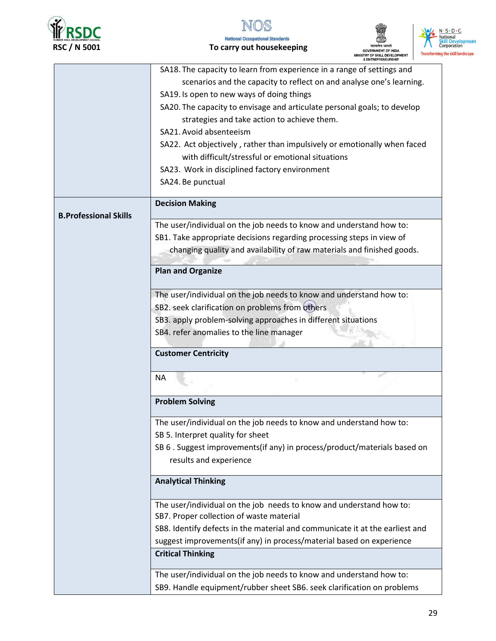



**National Occupational Standards** To carry out housekeeping





|                              | SA18. The capacity to learn from experience in a range of settings and       |
|------------------------------|------------------------------------------------------------------------------|
|                              | scenarios and the capacity to reflect on and analyse one's learning.         |
|                              |                                                                              |
|                              | SA19. Is open to new ways of doing things                                    |
|                              | SA20. The capacity to envisage and articulate personal goals; to develop     |
|                              | strategies and take action to achieve them.                                  |
|                              | SA21. Avoid absenteeism                                                      |
|                              | SA22. Act objectively, rather than impulsively or emotionally when faced     |
|                              | with difficult/stressful or emotional situations                             |
|                              | SA23. Work in disciplined factory environment                                |
|                              | SA24. Be punctual                                                            |
| <b>B.Professional Skills</b> | <b>Decision Making</b>                                                       |
|                              | The user/individual on the job needs to know and understand how to:          |
|                              | SB1. Take appropriate decisions regarding processing steps in view of        |
|                              | changing quality and availability of raw materials and finished goods.       |
|                              |                                                                              |
|                              | <b>Plan and Organize</b>                                                     |
|                              |                                                                              |
|                              | The user/individual on the job needs to know and understand how to:          |
|                              | SB2. seek clarification on problems from others                              |
|                              | SB3. apply problem-solving approaches in different situations                |
|                              | SB4. refer anomalies to the line manager                                     |
|                              |                                                                              |
|                              | <b>Customer Centricity</b>                                                   |
|                              | <b>NA</b>                                                                    |
|                              |                                                                              |
|                              | <b>Problem Solving</b>                                                       |
|                              | The user/individual on the job needs to know and understand how to:          |
|                              | SB 5. Interpret quality for sheet                                            |
|                              | SB 6. Suggest improvements(if any) in process/product/materials based on     |
|                              | results and experience                                                       |
|                              | <b>Analytical Thinking</b>                                                   |
|                              | The user/individual on the job needs to know and understand how to:          |
|                              | SB7. Proper collection of waste material                                     |
|                              | SB8. Identify defects in the material and communicate it at the earliest and |
|                              | suggest improvements(if any) in process/material based on experience         |
|                              | <b>Critical Thinking</b>                                                     |
|                              | The user/individual on the job needs to know and understand how to:          |
|                              | SB9. Handle equipment/rubber sheet SB6. seek clarification on problems       |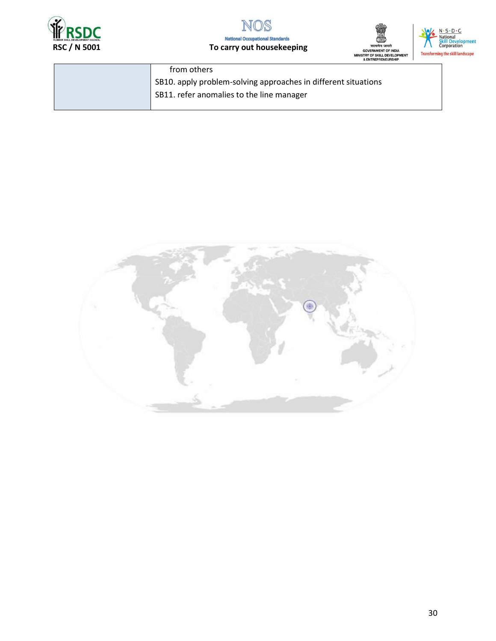



### To carry out housekeeping





| from others                                                    |
|----------------------------------------------------------------|
| SB10. apply problem-solving approaches in different situations |
| SB11. refer anomalies to the line manager                      |
|                                                                |

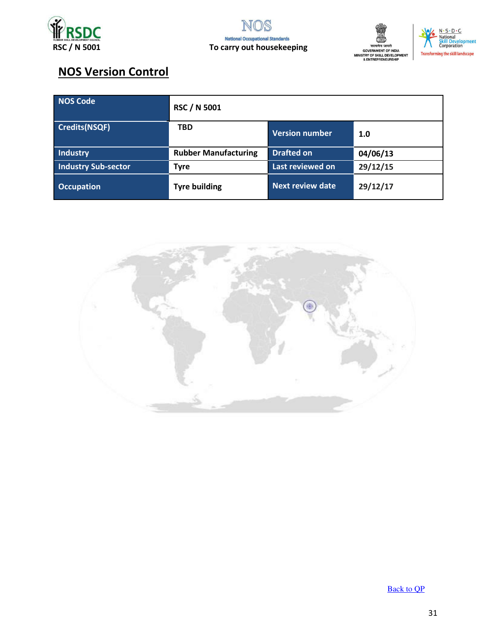





## **NOS Version Control**

| <b>NOS Code</b>            | <b>RSC / N 5001</b>         |                         |          |
|----------------------------|-----------------------------|-------------------------|----------|
| <b>Credits(NSQF)</b>       | <b>TBD</b>                  | Version number          | 1.0      |
| Industry                   | <b>Rubber Manufacturing</b> | <b>Drafted on</b>       | 04/06/13 |
| <b>Industry Sub-sector</b> | <b>Tyre</b>                 | Last reviewed on        | 29/12/15 |
| <b>Occupation</b>          | <b>Tyre building</b>        | <b>Next review date</b> | 29/12/17 |



**Back to QP**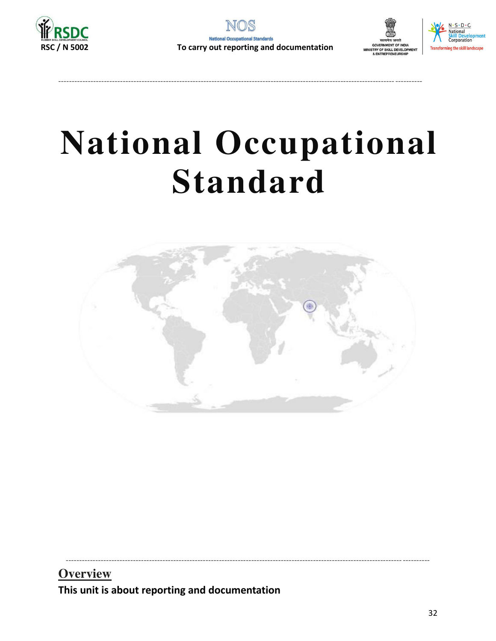





## **National Occupational Standard**



**Overview** This unit is about reporting and documentation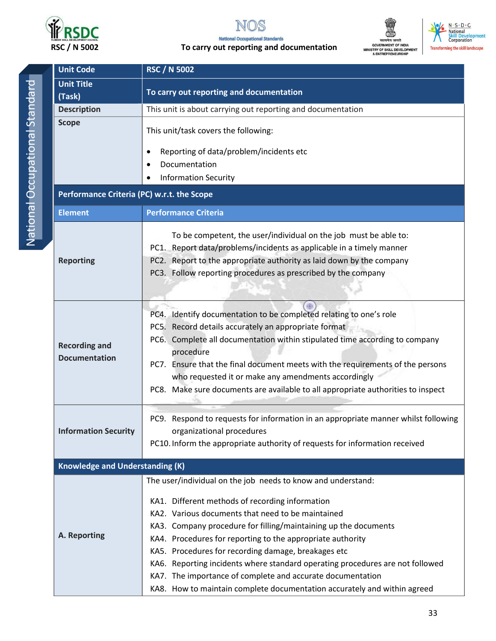

#### IS NO





| <b>Unit Code</b>                           | <b>RSC / N 5002</b>                                                                |  |  |  |
|--------------------------------------------|------------------------------------------------------------------------------------|--|--|--|
| <b>Unit Title</b>                          | To carry out reporting and documentation                                           |  |  |  |
| (Task)                                     |                                                                                    |  |  |  |
| <b>Description</b>                         | This unit is about carrying out reporting and documentation                        |  |  |  |
| <b>Scope</b>                               | This unit/task covers the following:                                               |  |  |  |
|                                            | Reporting of data/problem/incidents etc                                            |  |  |  |
|                                            | Documentation                                                                      |  |  |  |
|                                            | <b>Information Security</b>                                                        |  |  |  |
| Performance Criteria (PC) w.r.t. the Scope |                                                                                    |  |  |  |
| <b>Element</b>                             | <b>Performance Criteria</b>                                                        |  |  |  |
|                                            | To be competent, the user/individual on the job must be able to:                   |  |  |  |
|                                            | PC1. Report data/problems/incidents as applicable in a timely manner               |  |  |  |
| <b>Reporting</b>                           | PC2. Report to the appropriate authority as laid down by the company               |  |  |  |
|                                            | PC3. Follow reporting procedures as prescribed by the company                      |  |  |  |
|                                            |                                                                                    |  |  |  |
|                                            |                                                                                    |  |  |  |
|                                            | PC4. Identify documentation to be completed relating to one's role                 |  |  |  |
|                                            | PC5. Record details accurately an appropriate format                               |  |  |  |
|                                            | PC6. Complete all documentation within stipulated time according to company        |  |  |  |
| <b>Recording and</b>                       | procedure                                                                          |  |  |  |
| <b>Documentation</b>                       | PC7. Ensure that the final document meets with the requirements of the persons     |  |  |  |
|                                            | who requested it or make any amendments accordingly                                |  |  |  |
|                                            | PC8. Make sure documents are available to all appropriate authorities to inspect   |  |  |  |
|                                            |                                                                                    |  |  |  |
|                                            | PC9. Respond to requests for information in an appropriate manner whilst following |  |  |  |
| <b>Information Security</b>                | organizational procedures                                                          |  |  |  |
|                                            | PC10. Inform the appropriate authority of requests for information received        |  |  |  |
|                                            |                                                                                    |  |  |  |
| <b>Knowledge and Understanding (K)</b>     |                                                                                    |  |  |  |
|                                            | The user/individual on the job needs to know and understand:                       |  |  |  |
|                                            | KA1. Different methods of recording information                                    |  |  |  |
|                                            | KA2. Various documents that need to be maintained                                  |  |  |  |
|                                            | KA3. Company procedure for filling/maintaining up the documents                    |  |  |  |
| A. Reporting                               | KA4. Procedures for reporting to the appropriate authority                         |  |  |  |
|                                            | KA5. Procedures for recording damage, breakages etc                                |  |  |  |
|                                            | KA6. Reporting incidents where standard operating procedures are not followed      |  |  |  |
|                                            | KA7. The importance of complete and accurate documentation                         |  |  |  |
|                                            | KA8. How to maintain complete documentation accurately and within agreed           |  |  |  |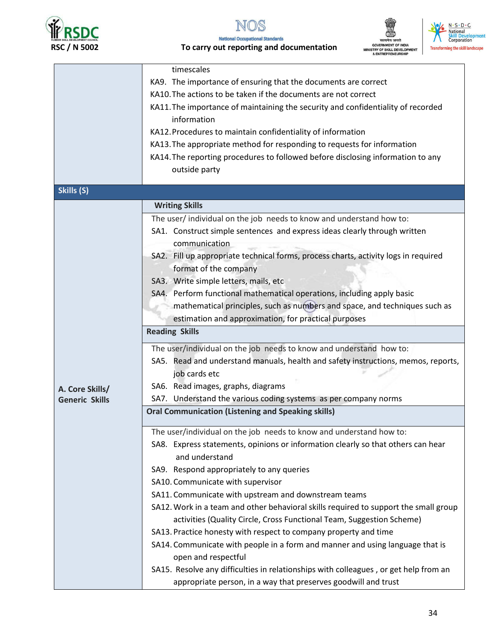





|                       | timescales                                                                           |  |  |
|-----------------------|--------------------------------------------------------------------------------------|--|--|
|                       | KA9. The importance of ensuring that the documents are correct                       |  |  |
|                       | KA10. The actions to be taken if the documents are not correct                       |  |  |
|                       | KA11. The importance of maintaining the security and confidentiality of recorded     |  |  |
|                       | information                                                                          |  |  |
|                       | KA12. Procedures to maintain confidentiality of information                          |  |  |
|                       | KA13. The appropriate method for responding to requests for information              |  |  |
|                       | KA14. The reporting procedures to followed before disclosing information to any      |  |  |
|                       | outside party                                                                        |  |  |
|                       |                                                                                      |  |  |
| Skills (S)            |                                                                                      |  |  |
|                       | <b>Writing Skills</b>                                                                |  |  |
|                       | The user/individual on the job needs to know and understand how to:                  |  |  |
|                       | SA1. Construct simple sentences and express ideas clearly through written            |  |  |
|                       | communication                                                                        |  |  |
|                       | SA2. Fill up appropriate technical forms, process charts, activity logs in required  |  |  |
|                       | format of the company                                                                |  |  |
|                       | SA3. Write simple letters, mails, etc                                                |  |  |
|                       | SA4. Perform functional mathematical operations, including apply basic               |  |  |
|                       |                                                                                      |  |  |
|                       | mathematical principles, such as numbers and space, and techniques such as           |  |  |
|                       | estimation and approximation, for practical purposes<br><b>Reading Skills</b>        |  |  |
|                       |                                                                                      |  |  |
|                       | The user/individual on the job needs to know and understand how to:                  |  |  |
|                       | SA5. Read and understand manuals, health and safety instructions, memos, reports,    |  |  |
|                       | job cards etc                                                                        |  |  |
| A. Core Skills/       | SA6. Read images, graphs, diagrams                                                   |  |  |
| <b>Generic Skills</b> | SA7. Understand the various coding systems as per company norms                      |  |  |
|                       | <b>Oral Communication (Listening and Speaking skills)</b>                            |  |  |
|                       |                                                                                      |  |  |
|                       | The user/individual on the job needs to know and understand how to:                  |  |  |
|                       | SA8. Express statements, opinions or information clearly so that others can hear     |  |  |
|                       | and understand                                                                       |  |  |
|                       | SA9. Respond appropriately to any queries                                            |  |  |
|                       | SA10. Communicate with supervisor                                                    |  |  |
|                       | SA11. Communicate with upstream and downstream teams                                 |  |  |
|                       | SA12. Work in a team and other behavioral skills required to support the small group |  |  |
|                       | activities (Quality Circle, Cross Functional Team, Suggestion Scheme)                |  |  |
|                       | SA13. Practice honesty with respect to company property and time                     |  |  |
|                       | SA14. Communicate with people in a form and manner and using language that is        |  |  |
|                       | open and respectful                                                                  |  |  |
|                       | SA15. Resolve any difficulties in relationships with colleagues, or get help from an |  |  |
|                       | appropriate person, in a way that preserves goodwill and trust                       |  |  |
|                       |                                                                                      |  |  |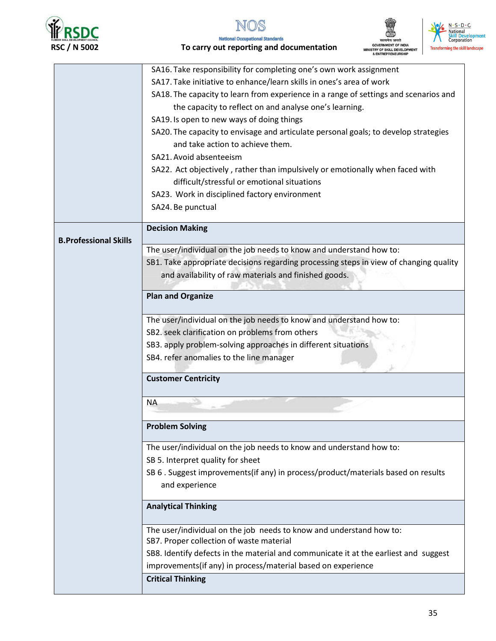





|                              | SA16. Take responsibility for completing one's own work assignment                     |
|------------------------------|----------------------------------------------------------------------------------------|
|                              | SA17. Take initiative to enhance/learn skills in ones's area of work                   |
|                              | SA18. The capacity to learn from experience in a range of settings and scenarios and   |
|                              | the capacity to reflect on and analyse one's learning.                                 |
|                              | SA19. Is open to new ways of doing things                                              |
|                              | SA20. The capacity to envisage and articulate personal goals; to develop strategies    |
|                              | and take action to achieve them.                                                       |
|                              | SA21. Avoid absenteeism                                                                |
|                              | SA22. Act objectively, rather than impulsively or emotionally when faced with          |
|                              | difficult/stressful or emotional situations                                            |
|                              | SA23. Work in disciplined factory environment                                          |
|                              | SA24. Be punctual                                                                      |
|                              |                                                                                        |
|                              | <b>Decision Making</b>                                                                 |
| <b>B.Professional Skills</b> |                                                                                        |
|                              | The user/individual on the job needs to know and understand how to:                    |
|                              | SB1. Take appropriate decisions regarding processing steps in view of changing quality |
|                              | and availability of raw materials and finished goods.                                  |
|                              |                                                                                        |
|                              | <b>Plan and Organize</b>                                                               |
|                              | The user/individual on the job needs to know and understand how to:                    |
|                              | SB2. seek clarification on problems from others                                        |
|                              | SB3. apply problem-solving approaches in different situations                          |
|                              | SB4. refer anomalies to the line manager                                               |
|                              |                                                                                        |
|                              | <b>Customer Centricity</b>                                                             |
|                              | <b>NA</b>                                                                              |
|                              |                                                                                        |
|                              | <b>Problem Solving</b>                                                                 |
|                              | The user/individual on the job needs to know and understand how to:                    |
|                              | SB 5. Interpret quality for sheet                                                      |
|                              | SB 6 . Suggest improvements(if any) in process/product/materials based on results      |
|                              | and experience                                                                         |
|                              |                                                                                        |
|                              | <b>Analytical Thinking</b>                                                             |
|                              |                                                                                        |
|                              | The user/individual on the job needs to know and understand how to:                    |
|                              | SB7. Proper collection of waste material                                               |
|                              | SB8. Identify defects in the material and communicate it at the earliest and suggest   |
|                              | improvements(if any) in process/material based on experience                           |
|                              | <b>Critical Thinking</b>                                                               |
|                              |                                                                                        |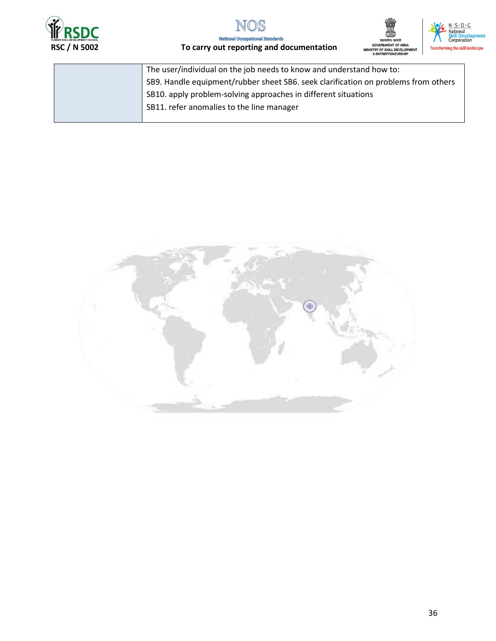







| The user/individual on the job needs to know and understand how to:                |
|------------------------------------------------------------------------------------|
| SB9. Handle equipment/rubber sheet SB6. seek clarification on problems from others |
| SB10. apply problem-solving approaches in different situations                     |
| SB11. refer anomalies to the line manager                                          |
|                                                                                    |

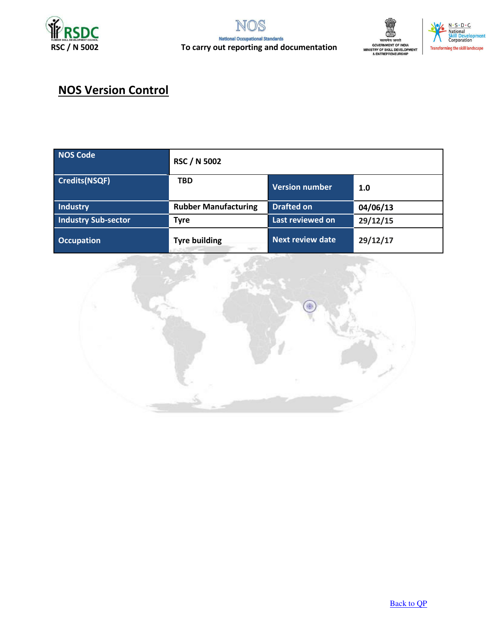





## **NOS Version Control**

| <b>NOS Code</b>            | <b>RSC / N 5002</b>         |                         |          |
|----------------------------|-----------------------------|-------------------------|----------|
| <b>Credits(NSQF)</b>       | <b>TBD</b>                  | Version number          | 1.0      |
| Industry                   | <b>Rubber Manufacturing</b> | <b>Drafted on</b>       | 04/06/13 |
| <b>Industry Sub-sector</b> | <b>Tyre</b>                 | Last reviewed on        | 29/12/15 |
| <b>Occupation</b>          | <b>Tyre building</b>        | <b>Next review date</b> | 29/12/17 |

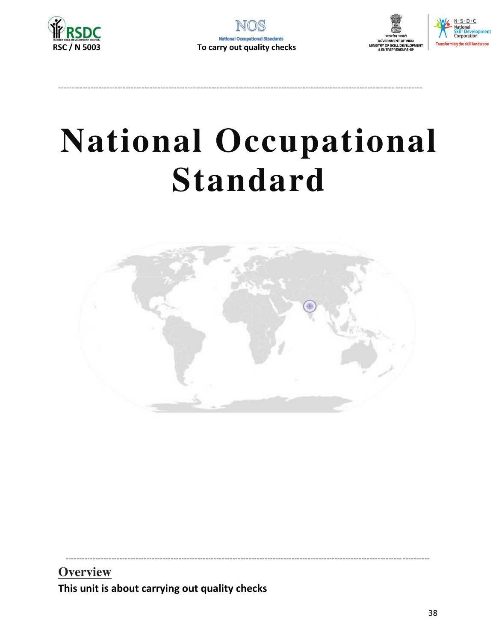





## **National Occupational Standard**



**Overview** This unit is about carrying out quality checks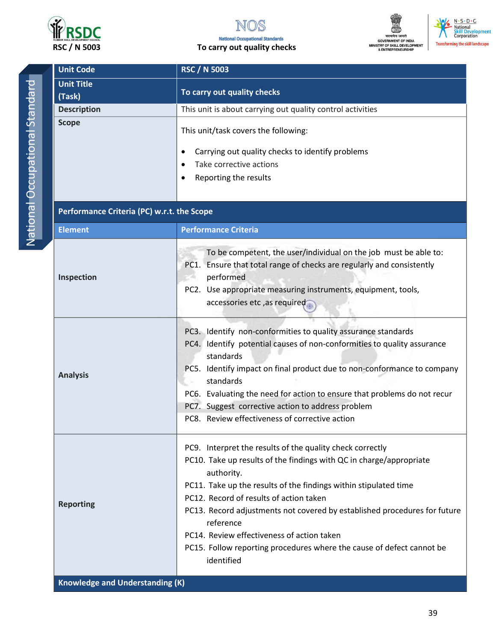



### To carry out quality checks





| <b>Unit Code</b>                           | <b>RSC / N 5003</b>                                                                                                                                                                                                                                                                                                                                                                                                                                                                          |  |  |  |
|--------------------------------------------|----------------------------------------------------------------------------------------------------------------------------------------------------------------------------------------------------------------------------------------------------------------------------------------------------------------------------------------------------------------------------------------------------------------------------------------------------------------------------------------------|--|--|--|
| <b>Unit Title</b>                          |                                                                                                                                                                                                                                                                                                                                                                                                                                                                                              |  |  |  |
| (Task)                                     | To carry out quality checks                                                                                                                                                                                                                                                                                                                                                                                                                                                                  |  |  |  |
| <b>Description</b>                         | This unit is about carrying out quality control activities                                                                                                                                                                                                                                                                                                                                                                                                                                   |  |  |  |
| <b>Scope</b>                               | This unit/task covers the following:<br>Carrying out quality checks to identify problems<br>٠<br>Take corrective actions<br>$\bullet$<br>Reporting the results<br>٠                                                                                                                                                                                                                                                                                                                          |  |  |  |
| Performance Criteria (PC) w.r.t. the Scope |                                                                                                                                                                                                                                                                                                                                                                                                                                                                                              |  |  |  |
| <b>Element</b>                             | <b>Performance Criteria</b>                                                                                                                                                                                                                                                                                                                                                                                                                                                                  |  |  |  |
| Inspection                                 | To be competent, the user/individual on the job must be able to:<br>PC1. Ensure that total range of checks are regularly and consistently<br>performed<br>PC2. Use appropriate measuring instruments, equipment, tools,<br>accessories etc, as required                                                                                                                                                                                                                                      |  |  |  |
| <b>Analysis</b>                            | PC3. Identify non-conformities to quality assurance standards<br>PC4. Identify potential causes of non-conformities to quality assurance<br>standards<br>PC5. Identify impact on final product due to non-conformance to company<br>standards<br>PC6. Evaluating the need for action to ensure that problems do not recur<br>PC7. Suggest corrective action to address problem<br>PC8. Review effectiveness of corrective action                                                             |  |  |  |
| <b>Reporting</b>                           | PC9. Interpret the results of the quality check correctly<br>PC10. Take up results of the findings with QC in charge/appropriate<br>authority.<br>PC11. Take up the results of the findings within stipulated time<br>PC12. Record of results of action taken<br>PC13. Record adjustments not covered by established procedures for future<br>reference<br>PC14. Review effectiveness of action taken<br>PC15. Follow reporting procedures where the cause of defect cannot be<br>identified |  |  |  |
| <b>Knowledge and Understanding (K)</b>     |                                                                                                                                                                                                                                                                                                                                                                                                                                                                                              |  |  |  |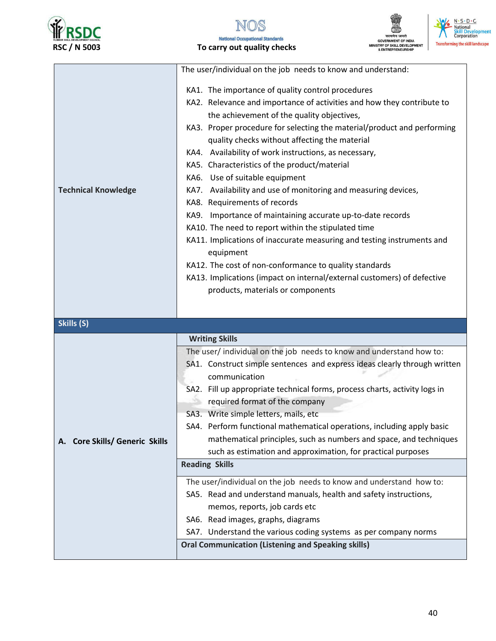

### To carry out quality checks



|                                | The user/individual on the job needs to know and understand:                                                                                                                                                                                                                                                                                                                                                                                                                                                                                                                                                                                                                                                                                                                                                                                                                                                                             |
|--------------------------------|------------------------------------------------------------------------------------------------------------------------------------------------------------------------------------------------------------------------------------------------------------------------------------------------------------------------------------------------------------------------------------------------------------------------------------------------------------------------------------------------------------------------------------------------------------------------------------------------------------------------------------------------------------------------------------------------------------------------------------------------------------------------------------------------------------------------------------------------------------------------------------------------------------------------------------------|
| <b>Technical Knowledge</b>     | KA1. The importance of quality control procedures<br>KA2. Relevance and importance of activities and how they contribute to<br>the achievement of the quality objectives,<br>KA3. Proper procedure for selecting the material/product and performing<br>quality checks without affecting the material<br>KA4. Availability of work instructions, as necessary,<br>KA5. Characteristics of the product/material<br>KA6. Use of suitable equipment<br>KA7. Availability and use of monitoring and measuring devices,<br>KA8. Requirements of records<br>KA9. Importance of maintaining accurate up-to-date records<br>KA10. The need to report within the stipulated time<br>KA11. Implications of inaccurate measuring and testing instruments and<br>equipment<br>KA12. The cost of non-conformance to quality standards<br>KA13. Implications (impact on internal/external customers) of defective<br>products, materials or components |
| Skills (S)                     |                                                                                                                                                                                                                                                                                                                                                                                                                                                                                                                                                                                                                                                                                                                                                                                                                                                                                                                                          |
|                                | <b>Writing Skills</b>                                                                                                                                                                                                                                                                                                                                                                                                                                                                                                                                                                                                                                                                                                                                                                                                                                                                                                                    |
| A. Core Skills/ Generic Skills | The user/ individual on the job needs to know and understand how to:<br>SA1. Construct simple sentences and express ideas clearly through written<br>communication<br>SA2. Fill up appropriate technical forms, process charts, activity logs in<br>required format of the company<br>SA3. Write simple letters, mails, etc<br>SA4. Perform functional mathematical operations, including apply basic<br>mathematical principles, such as numbers and space, and techniques<br>such as estimation and approximation, for practical purposes<br><b>Reading Skills</b><br>The user/individual on the job needs to know and understand how to:<br>SA5. Read and understand manuals, health and safety instructions,<br>memos, reports, job cards etc<br>SA6. Read images, graphs, diagrams<br>SA7. Understand the various coding systems as per company norms<br><b>Oral Communication (Listening and Speaking skills)</b>                  |
|                                |                                                                                                                                                                                                                                                                                                                                                                                                                                                                                                                                                                                                                                                                                                                                                                                                                                                                                                                                          |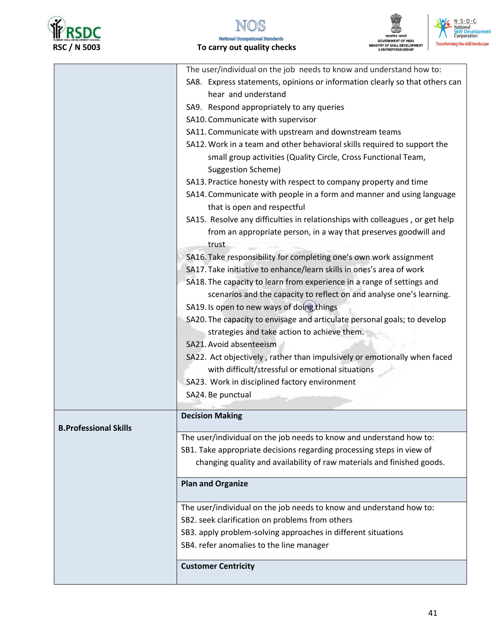

#### **National Occupational Standards** To carry out quality checks



|                              | The user/individual on the job needs to know and understand how to:          |  |  |  |  |
|------------------------------|------------------------------------------------------------------------------|--|--|--|--|
|                              | SA8. Express statements, opinions or information clearly so that others can  |  |  |  |  |
|                              | hear and understand                                                          |  |  |  |  |
|                              | SA9. Respond appropriately to any queries                                    |  |  |  |  |
|                              | SA10. Communicate with supervisor                                            |  |  |  |  |
|                              | SA11. Communicate with upstream and downstream teams                         |  |  |  |  |
|                              | SA12. Work in a team and other behavioral skills required to support the     |  |  |  |  |
|                              | small group activities (Quality Circle, Cross Functional Team,               |  |  |  |  |
|                              | <b>Suggestion Scheme)</b>                                                    |  |  |  |  |
|                              | SA13. Practice honesty with respect to company property and time             |  |  |  |  |
|                              | SA14. Communicate with people in a form and manner and using language        |  |  |  |  |
|                              | that is open and respectful                                                  |  |  |  |  |
|                              | SA15. Resolve any difficulties in relationships with colleagues, or get help |  |  |  |  |
|                              | from an appropriate person, in a way that preserves goodwill and<br>trust    |  |  |  |  |
|                              | SA16. Take responsibility for completing one's own work assignment           |  |  |  |  |
|                              | SA17. Take initiative to enhance/learn skills in ones's area of work         |  |  |  |  |
|                              | SA18. The capacity to learn from experience in a range of settings and       |  |  |  |  |
|                              | scenarios and the capacity to reflect on and analyse one's learning.         |  |  |  |  |
|                              | SA19. Is open to new ways of doing things                                    |  |  |  |  |
|                              | SA20. The capacity to envisage and articulate personal goals; to develop     |  |  |  |  |
|                              | strategies and take action to achieve them.                                  |  |  |  |  |
|                              | SA21. Avoid absenteeism                                                      |  |  |  |  |
|                              | SA22. Act objectively, rather than impulsively or emotionally when faced     |  |  |  |  |
|                              | with difficult/stressful or emotional situations                             |  |  |  |  |
|                              | SA23. Work in disciplined factory environment                                |  |  |  |  |
|                              | SA24. Be punctual                                                            |  |  |  |  |
|                              |                                                                              |  |  |  |  |
| <b>B.Professional Skills</b> | <b>Decision Making</b>                                                       |  |  |  |  |
|                              | The user/individual on the job needs to know and understand how to:          |  |  |  |  |
|                              | SB1. Take appropriate decisions regarding processing steps in view of        |  |  |  |  |
|                              | changing quality and availability of raw materials and finished goods.       |  |  |  |  |
|                              | <b>Plan and Organize</b>                                                     |  |  |  |  |
|                              | The user/individual on the job needs to know and understand how to:          |  |  |  |  |
|                              | SB2. seek clarification on problems from others                              |  |  |  |  |
|                              | SB3. apply problem-solving approaches in different situations                |  |  |  |  |
|                              | SB4. refer anomalies to the line manager                                     |  |  |  |  |
|                              | <b>Customer Centricity</b>                                                   |  |  |  |  |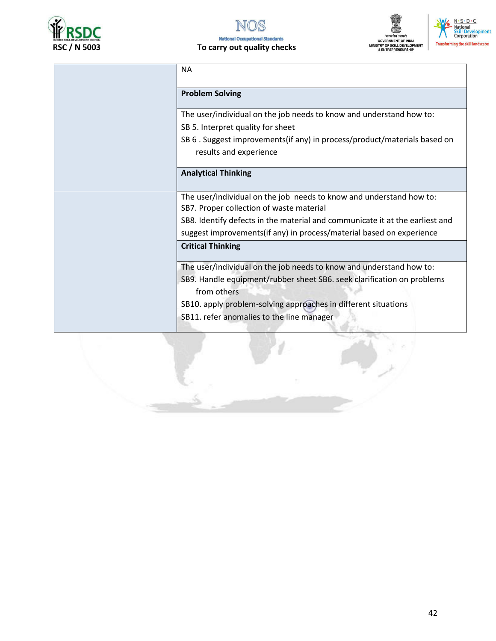

## सत्यमेव जयते<br>GOVERNMENT OF INDIA<br>MINISTRY OF SKILL DEVELOPMENT<br>& ENTREPRENEURSHIP



| <b>NA</b>                                                                                                                                                                                                                      |
|--------------------------------------------------------------------------------------------------------------------------------------------------------------------------------------------------------------------------------|
| <b>Problem Solving</b>                                                                                                                                                                                                         |
| The user/individual on the job needs to know and understand how to:<br>SB 5. Interpret quality for sheet                                                                                                                       |
| SB 6. Suggest improvements (if any) in process/product/materials based on<br>results and experience                                                                                                                            |
| <b>Analytical Thinking</b>                                                                                                                                                                                                     |
| The user/individual on the job needs to know and understand how to:<br>SB7. Proper collection of waste material                                                                                                                |
| SB8. Identify defects in the material and communicate it at the earliest and<br>suggest improvements(if any) in process/material based on experience                                                                           |
| <b>Critical Thinking</b>                                                                                                                                                                                                       |
| The user/individual on the job needs to know and understand how to:<br>SB9. Handle equipment/rubber sheet SB6. seek clarification on problems<br>from others<br>SB10. apply problem-solving approaches in different situations |
| SB11. refer anomalies to the line manager                                                                                                                                                                                      |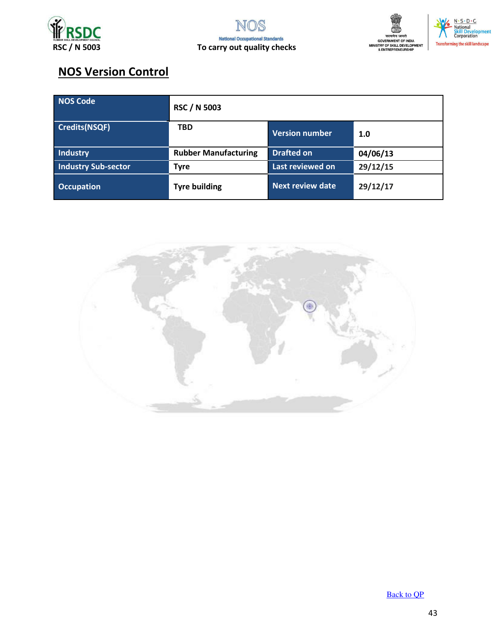



## **NOS Version Control**

| NOS Code                   | <b>RSC / N 5003</b>         |                         |          |
|----------------------------|-----------------------------|-------------------------|----------|
| <b>Credits(NSQF)</b>       | <b>TBD</b>                  | <b>Version number</b>   | 1.0      |
| Industry                   | <b>Rubber Manufacturing</b> | <b>Drafted on</b>       | 04/06/13 |
| <b>Industry Sub-sector</b> | <b>Tyre</b>                 | Last reviewed on        | 29/12/15 |
| <b>Occupation</b>          | <b>Tyre building</b>        | <b>Next review date</b> | 29/12/17 |



**Back to QP**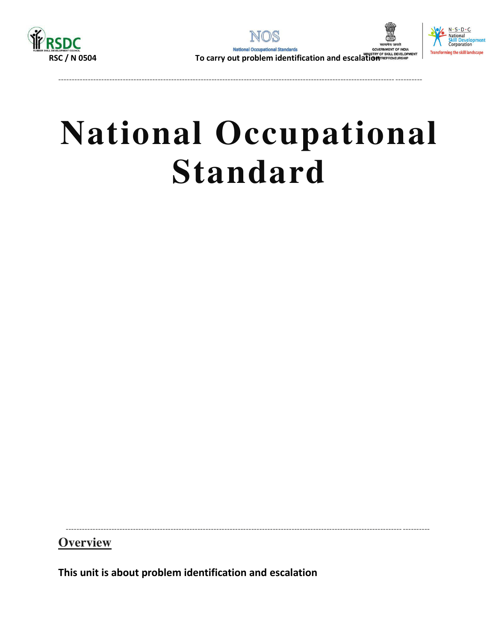





# **National Occupational Standard**

**Overview** 

This unit is about problem identification and escalation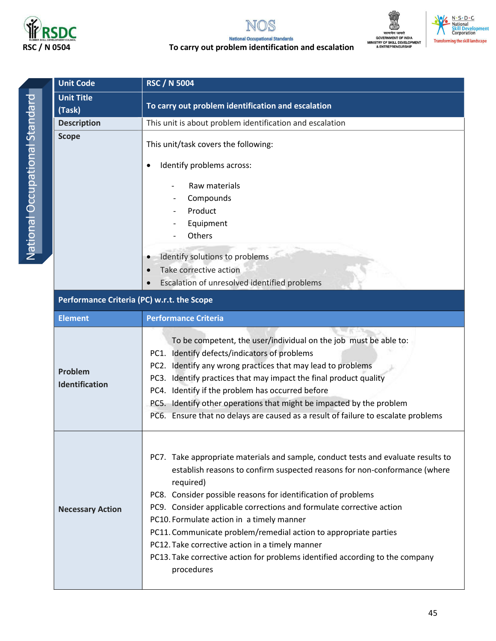

## N

#### **National Occupational Standards** To carry out problem identification and escalation



N · S · D · C<br>| National<br>| Skill\_Development<br>| Corporation **Transforming the skill landscape** 

| <b>Unit Code</b>                           | <b>RSC / N 5004</b>                                                                                                                                                                                                                                                                                                                                                                                                                                                                                                                                                                     |
|--------------------------------------------|-----------------------------------------------------------------------------------------------------------------------------------------------------------------------------------------------------------------------------------------------------------------------------------------------------------------------------------------------------------------------------------------------------------------------------------------------------------------------------------------------------------------------------------------------------------------------------------------|
| <b>Unit Title</b>                          |                                                                                                                                                                                                                                                                                                                                                                                                                                                                                                                                                                                         |
| (Task)                                     | To carry out problem identification and escalation                                                                                                                                                                                                                                                                                                                                                                                                                                                                                                                                      |
| <b>Description</b>                         | This unit is about problem identification and escalation                                                                                                                                                                                                                                                                                                                                                                                                                                                                                                                                |
| <b>Scope</b>                               | This unit/task covers the following:<br>Identify problems across:                                                                                                                                                                                                                                                                                                                                                                                                                                                                                                                       |
|                                            | Raw materials<br>Compounds<br>Product<br>Equipment<br>Others                                                                                                                                                                                                                                                                                                                                                                                                                                                                                                                            |
|                                            | Identify solutions to problems<br>Take corrective action<br>Escalation of unresolved identified problems                                                                                                                                                                                                                                                                                                                                                                                                                                                                                |
| Performance Criteria (PC) w.r.t. the Scope |                                                                                                                                                                                                                                                                                                                                                                                                                                                                                                                                                                                         |
| <b>Element</b>                             | <b>Performance Criteria</b>                                                                                                                                                                                                                                                                                                                                                                                                                                                                                                                                                             |
| Problem<br><b>Identification</b>           | To be competent, the user/individual on the job must be able to:<br>PC1. Identify defects/indicators of problems<br>PC2. Identify any wrong practices that may lead to problems<br>PC3. Identify practices that may impact the final product quality<br>PC4. Identify if the problem has occurred before<br>PC5. Identify other operations that might be impacted by the problem<br>PC6. Ensure that no delays are caused as a result of failure to escalate problems                                                                                                                   |
| <b>Necessary Action</b>                    | PC7. Take appropriate materials and sample, conduct tests and evaluate results to<br>establish reasons to confirm suspected reasons for non-conformance (where<br>required)<br>PC8. Consider possible reasons for identification of problems<br>PC9. Consider applicable corrections and formulate corrective action<br>PC10. Formulate action in a timely manner<br>PC11. Communicate problem/remedial action to appropriate parties<br>PC12. Take corrective action in a timely manner<br>PC13. Take corrective action for problems identified according to the company<br>procedures |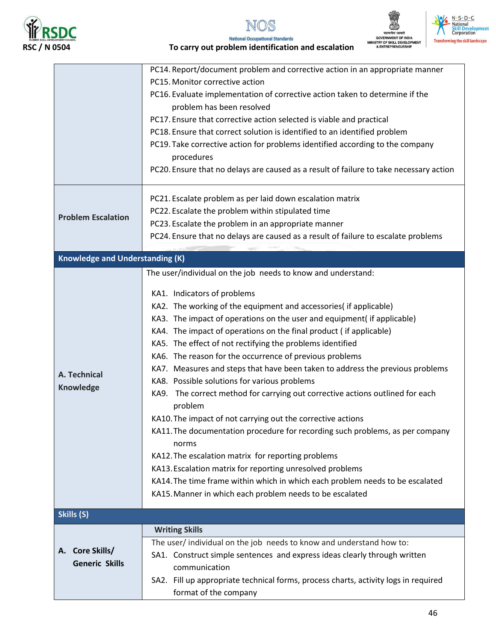







**National Occupational Standards** To carry out problem identification and escalation

|                                        | PC14. Report/document problem and corrective action in an appropriate manner                                                             |
|----------------------------------------|------------------------------------------------------------------------------------------------------------------------------------------|
|                                        | PC15. Monitor corrective action                                                                                                          |
|                                        | PC16. Evaluate implementation of corrective action taken to determine if the                                                             |
|                                        | problem has been resolved                                                                                                                |
|                                        | PC17. Ensure that corrective action selected is viable and practical                                                                     |
|                                        | PC18. Ensure that correct solution is identified to an identified problem                                                                |
|                                        | PC19. Take corrective action for problems identified according to the company                                                            |
|                                        | procedures                                                                                                                               |
|                                        | PC20. Ensure that no delays are caused as a result of failure to take necessary action                                                   |
|                                        | PC21. Escalate problem as per laid down escalation matrix                                                                                |
| <b>Problem Escalation</b>              | PC22. Escalate the problem within stipulated time                                                                                        |
|                                        | PC23. Escalate the problem in an appropriate manner                                                                                      |
|                                        | PC24. Ensure that no delays are caused as a result of failure to escalate problems                                                       |
| <b>Knowledge and Understanding (K)</b> |                                                                                                                                          |
|                                        | The user/individual on the job needs to know and understand:                                                                             |
|                                        |                                                                                                                                          |
|                                        | KA1. Indicators of problems                                                                                                              |
|                                        | KA2. The working of the equipment and accessories( if applicable)                                                                        |
|                                        | KA3. The impact of operations on the user and equipment( if applicable)                                                                  |
|                                        | KA4. The impact of operations on the final product (if applicable)                                                                       |
|                                        | KA5. The effect of not rectifying the problems identified                                                                                |
|                                        | KA6. The reason for the occurrence of previous problems<br>KA7. Measures and steps that have been taken to address the previous problems |
| A. Technical                           | KA8. Possible solutions for various problems                                                                                             |
| <b>Knowledge</b>                       | KA9. The correct method for carrying out corrective actions outlined for each                                                            |
|                                        | problem                                                                                                                                  |
|                                        | KA10. The impact of not carrying out the corrective actions                                                                              |
|                                        | KA11. The documentation procedure for recording such problems, as per company                                                            |
|                                        | norms                                                                                                                                    |
|                                        | KA12. The escalation matrix for reporting problems                                                                                       |
|                                        | KA13. Escalation matrix for reporting unresolved problems                                                                                |
|                                        | KA14. The time frame within which in which each problem needs to be escalated                                                            |
|                                        | KA15. Manner in which each problem needs to be escalated                                                                                 |
| Skills (S)                             |                                                                                                                                          |
|                                        | <b>Writing Skills</b>                                                                                                                    |
|                                        | The user/ individual on the job needs to know and understand how to:                                                                     |
| <b>Core Skills/</b><br>А.              | SA1. Construct simple sentences and express ideas clearly through written                                                                |
| <b>Generic Skills</b>                  | communication                                                                                                                            |
|                                        | SA2. Fill up appropriate technical forms, process charts, activity logs in required                                                      |
|                                        | format of the company                                                                                                                    |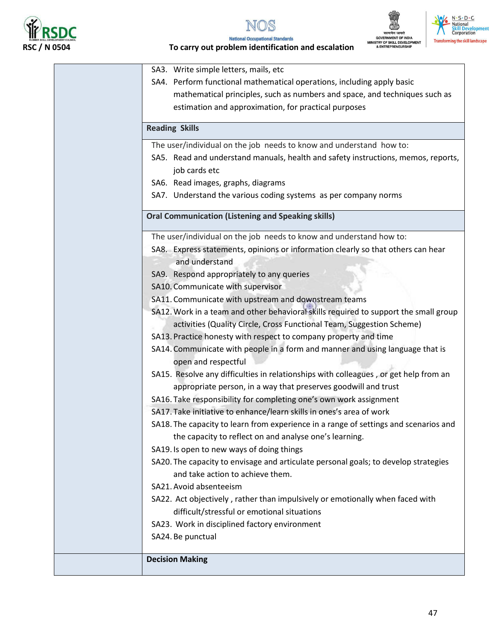

 $\mathbf I$ 









To carry out problem identification and escalation

| SA3. Write simple letters, mails, etc                                                |
|--------------------------------------------------------------------------------------|
| SA4. Perform functional mathematical operations, including apply basic               |
| mathematical principles, such as numbers and space, and techniques such as           |
| estimation and approximation, for practical purposes                                 |
| <b>Reading Skills</b>                                                                |
| The user/individual on the job needs to know and understand how to:                  |
| SA5. Read and understand manuals, health and safety instructions, memos, reports,    |
| job cards etc                                                                        |
| SA6. Read images, graphs, diagrams                                                   |
| SA7. Understand the various coding systems as per company norms                      |
| <b>Oral Communication (Listening and Speaking skills)</b>                            |
| The user/individual on the job needs to know and understand how to:                  |
| SA8. Express statements, opinions or information clearly so that others can hear     |
| and understand                                                                       |
| SA9. Respond appropriately to any queries                                            |
| SA10. Communicate with supervisor                                                    |
| SA11. Communicate with upstream and downstream teams                                 |
| SA12. Work in a team and other behavioral skills required to support the small group |
| activities (Quality Circle, Cross Functional Team, Suggestion Scheme)                |
| SA13. Practice honesty with respect to company property and time                     |
| SA14. Communicate with people in a form and manner and using language that is        |
| open and respectful                                                                  |
| SA15. Resolve any difficulties in relationships with colleagues, or get help from an |
| appropriate person, in a way that preserves goodwill and trust                       |
| SA16. Take responsibility for completing one's own work assignment                   |
| SA17. Take initiative to enhance/learn skills in ones's area of work                 |
| SA18. The capacity to learn from experience in a range of settings and scenarios and |
| the capacity to reflect on and analyse one's learning.                               |
| SA19. Is open to new ways of doing things                                            |
| SA20. The capacity to envisage and articulate personal goals; to develop strategies  |
| and take action to achieve them.                                                     |
| SA21. Avoid absenteeism                                                              |
| SA22. Act objectively, rather than impulsively or emotionally when faced with        |
| difficult/stressful or emotional situations                                          |
| SA23. Work in disciplined factory environment                                        |
| SA24. Be punctual                                                                    |
| <b>Decision Making</b>                                                               |
|                                                                                      |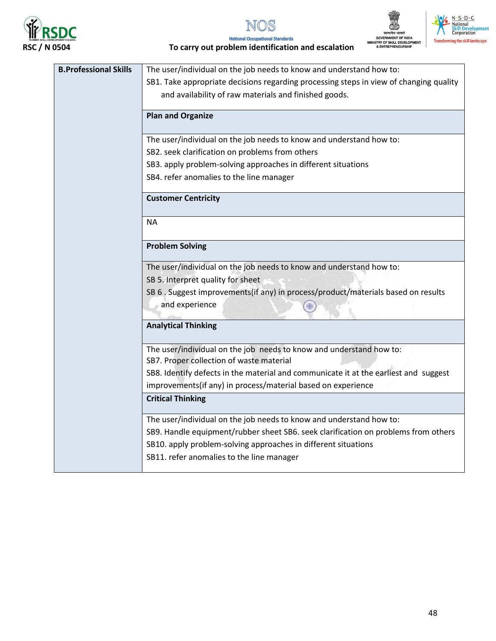







**National Occupational Standards** To carry out problem identification and escalation

| <b>B.Professional Skills</b> | The user/individual on the job needs to know and understand how to:                                                                                  |
|------------------------------|------------------------------------------------------------------------------------------------------------------------------------------------------|
|                              | SB1. Take appropriate decisions regarding processing steps in view of changing quality                                                               |
|                              | and availability of raw materials and finished goods.                                                                                                |
|                              |                                                                                                                                                      |
|                              | <b>Plan and Organize</b>                                                                                                                             |
|                              | The user/individual on the job needs to know and understand how to:                                                                                  |
|                              | SB2. seek clarification on problems from others                                                                                                      |
|                              | SB3. apply problem-solving approaches in different situations                                                                                        |
|                              | SB4. refer anomalies to the line manager                                                                                                             |
|                              | <b>Customer Centricity</b>                                                                                                                           |
|                              | <b>NA</b>                                                                                                                                            |
|                              |                                                                                                                                                      |
|                              | <b>Problem Solving</b>                                                                                                                               |
|                              | The user/individual on the job needs to know and understand how to:                                                                                  |
|                              | SB 5. Interpret quality for sheet                                                                                                                    |
|                              | SB 6 . Suggest improvements(if any) in process/product/materials based on results                                                                    |
|                              | and experience                                                                                                                                       |
|                              | <b>Analytical Thinking</b>                                                                                                                           |
|                              | The user/individual on the job needs to know and understand how to:<br>SB7. Proper collection of waste material                                      |
|                              | SB8. Identify defects in the material and communicate it at the earliest and suggest<br>improvements(if any) in process/material based on experience |
|                              | <b>Critical Thinking</b>                                                                                                                             |
|                              | The user/individual on the job needs to know and understand how to:                                                                                  |
|                              | SB9. Handle equipment/rubber sheet SB6. seek clarification on problems from others                                                                   |
|                              | SB10. apply problem-solving approaches in different situations                                                                                       |
|                              | SB11. refer anomalies to the line manager                                                                                                            |
|                              |                                                                                                                                                      |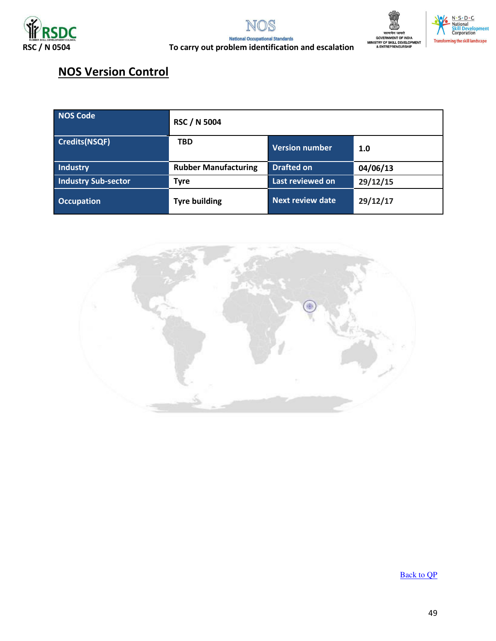





### To carry out problem identification and escalation

## **NOS Version Control**

| <b>NOS Code</b>            | <b>RSC / N 5004</b>         |                         |          |  |
|----------------------------|-----------------------------|-------------------------|----------|--|
| <b>Credits(NSQF)</b>       | <b>TBD</b>                  | <b>Version number</b>   | 1.0      |  |
| <b>Industry</b>            | <b>Rubber Manufacturing</b> | <b>Drafted on</b>       | 04/06/13 |  |
| <b>Industry Sub-sector</b> | <b>Tyre</b>                 | Last reviewed on        | 29/12/15 |  |
| <b>Occupation</b>          | <b>Tyre building</b>        | <b>Next review date</b> | 29/12/17 |  |



**Back to QP**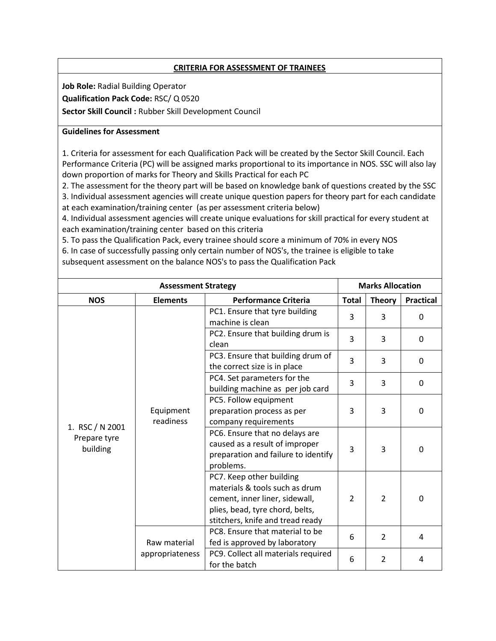#### **CRITERIA FOR ASSESSMENT OF TRAINEES**

**Job Role:** Radial Building Operator

**Qualification Pack Code:** RSC/ Q 0520

**Sector Skill Council :** Rubber Skill Development Council

#### **Guidelines for Assessment**

1. Criteria for assessment for each Qualification Pack will be created by the Sector Skill Council. Each Performance Criteria (PC) will be assigned marks proportional to its importance in NOS. SSC will also lay down proportion of marks for Theory and Skills Practical for each PC

2. The assessment for the theory part will be based on knowledge bank of questions created by the SSC 3. Individual assessment agencies will create unique question papers for theory part for each candidate at each examination/training center (as per assessment criteria below)

4. Individual assessment agencies will create unique evaluations for skill practical for every student at each examination/training center based on this criteria

5. To pass the Qualification Pack, every trainee should score a minimum of 70% in every NOS 6. In case of successfully passing only certain number of NOS's, the trainee is eligible to take subsequent assessment on the balance NOS's to pass the Qualification Pack

|                                             | <b>Assessment Strategy</b> |                                                                                                                                                                     |                | <b>Marks Allocation</b> |                  |  |
|---------------------------------------------|----------------------------|---------------------------------------------------------------------------------------------------------------------------------------------------------------------|----------------|-------------------------|------------------|--|
| <b>NOS</b>                                  | <b>Elements</b>            | <b>Performance Criteria</b>                                                                                                                                         | <b>Total</b>   | <b>Theory</b>           | <b>Practical</b> |  |
|                                             |                            | PC1. Ensure that tyre building<br>machine is clean                                                                                                                  | 3              | 3                       | $\Omega$         |  |
|                                             |                            | PC2. Ensure that building drum is<br>clean                                                                                                                          | 3              | 3                       | 0                |  |
|                                             |                            | PC3. Ensure that building drum of<br>the correct size is in place                                                                                                   | 3              | 3                       | $\Omega$         |  |
|                                             | Equipment<br>readiness     | PC4. Set parameters for the<br>building machine as per job card                                                                                                     | 3              | 3                       | $\Omega$         |  |
| 1. RSC / N 2001<br>Prepare tyre<br>building |                            | PC5. Follow equipment<br>preparation process as per<br>company requirements                                                                                         | 3              | 3                       | $\Omega$         |  |
|                                             |                            | PC6. Ensure that no delays are<br>caused as a result of improper<br>preparation and failure to identify<br>problems.                                                | 3              | 3                       | $\mathbf{0}$     |  |
|                                             |                            | PC7. Keep other building<br>materials & tools such as drum<br>cement, inner liner, sidewall,<br>plies, bead, tyre chord, belts,<br>stitchers, knife and tread ready | $\overline{2}$ | $\overline{2}$          | $\Omega$         |  |
|                                             | Raw material               | PC8. Ensure that material to be<br>fed is approved by laboratory                                                                                                    | 6              | $\overline{2}$          | 4                |  |
|                                             | appropriateness            | PC9. Collect all materials required<br>for the batch                                                                                                                | 6              | $\overline{2}$          | 4                |  |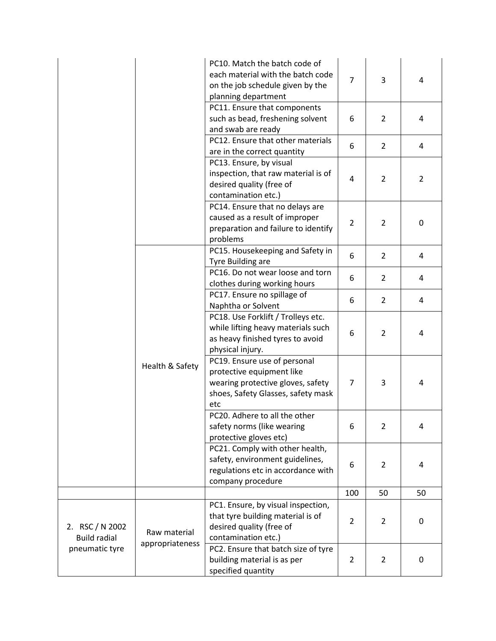|                                        |                 | PC10. Match the batch code of<br>each material with the batch code<br>on the job schedule given by the<br>planning department               | $\overline{7}$ | 3              | 4              |
|----------------------------------------|-----------------|---------------------------------------------------------------------------------------------------------------------------------------------|----------------|----------------|----------------|
|                                        |                 | PC11. Ensure that components<br>such as bead, freshening solvent<br>and swab are ready                                                      | 6              | $\overline{2}$ | 4              |
|                                        |                 | PC12. Ensure that other materials<br>are in the correct quantity                                                                            | 6              | $\overline{2}$ | 4              |
|                                        |                 | PC13. Ensure, by visual<br>inspection, that raw material is of<br>desired quality (free of<br>contamination etc.)                           | $\overline{4}$ | $\overline{2}$ | $\overline{2}$ |
|                                        |                 | PC14. Ensure that no delays are<br>caused as a result of improper<br>preparation and failure to identify<br>problems                        | $\overline{2}$ | $\overline{2}$ | 0              |
|                                        |                 | PC15. Housekeeping and Safety in<br>Tyre Building are                                                                                       | 6              | $\overline{2}$ | 4              |
|                                        | Health & Safety | PC16. Do not wear loose and torn<br>clothes during working hours                                                                            | 6              | $\overline{2}$ | 4              |
|                                        |                 | PC17. Ensure no spillage of<br>Naphtha or Solvent                                                                                           | 6              | $\overline{2}$ | 4              |
|                                        |                 | PC18. Use Forklift / Trolleys etc.<br>while lifting heavy materials such<br>as heavy finished tyres to avoid<br>physical injury.            | 6              | $\overline{2}$ | 4              |
|                                        |                 | PC19. Ensure use of personal<br>protective equipment like<br>wearing protective gloves, safety<br>shoes, Safety Glasses, safety mask<br>etc | 7              | 3              | 4              |
|                                        |                 | PC20. Adhere to all the other<br>safety norms (like wearing<br>protective gloves etc)                                                       | 6              | $\overline{2}$ | 4              |
|                                        |                 | PC21. Comply with other health,<br>safety, environment guidelines,<br>regulations etc in accordance with<br>company procedure               | 6              | $\overline{2}$ | 4              |
|                                        |                 |                                                                                                                                             | 100            | 50             | 50             |
| 2. RSC / N 2002<br><b>Build radial</b> | Raw material    | PC1. Ensure, by visual inspection,<br>that tyre building material is of<br>desired quality (free of<br>contamination etc.)                  | $\overline{2}$ | $\overline{2}$ | 0              |
| pneumatic tyre                         | appropriateness | PC2. Ensure that batch size of tyre<br>building material is as per<br>specified quantity                                                    | $\overline{2}$ | $\overline{2}$ | 0              |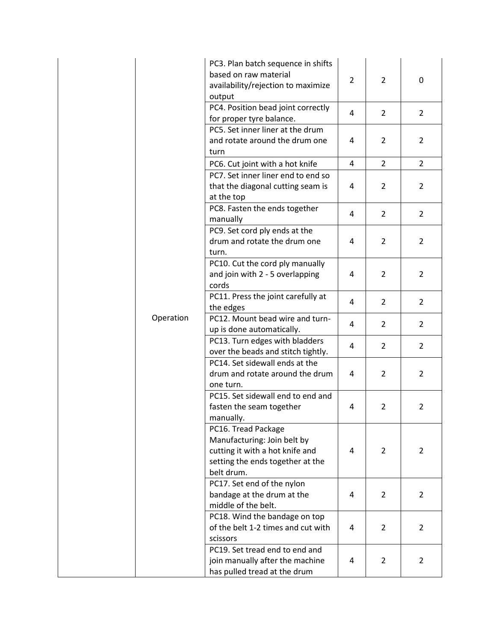|  |           | PC3. Plan batch sequence in shifts<br>based on raw material<br>availability/rejection to maximize<br>output                             | $\overline{2}$ | 2              | 0              |
|--|-----------|-----------------------------------------------------------------------------------------------------------------------------------------|----------------|----------------|----------------|
|  |           | PC4. Position bead joint correctly<br>for proper tyre balance.                                                                          | 4              | 2              | $\overline{2}$ |
|  |           | PC5. Set inner liner at the drum<br>and rotate around the drum one<br>turn                                                              | 4              | 2              | 2              |
|  |           | PC6. Cut joint with a hot knife                                                                                                         | 4              | $\overline{2}$ | $\overline{2}$ |
|  |           | PC7. Set inner liner end to end so<br>that the diagonal cutting seam is<br>at the top                                                   | 4              | 2              | 2              |
|  |           | PC8. Fasten the ends together<br>manually                                                                                               | 4              | $\overline{2}$ | 2              |
|  |           | PC9. Set cord ply ends at the<br>drum and rotate the drum one<br>turn.                                                                  | 4              | 2              | $\overline{2}$ |
|  | Operation | PC10. Cut the cord ply manually<br>and join with 2 - 5 overlapping<br>cords                                                             | 4              | 2              | $\overline{2}$ |
|  |           | PC11. Press the joint carefully at<br>the edges                                                                                         | 4              | $\overline{2}$ | $\overline{2}$ |
|  |           | PC12. Mount bead wire and turn-<br>up is done automatically.                                                                            | 4              | 2              | $\overline{2}$ |
|  |           | PC13. Turn edges with bladders<br>over the beads and stitch tightly.                                                                    | 4              | $\overline{2}$ | $\overline{2}$ |
|  |           | PC14. Set sidewall ends at the<br>drum and rotate around the drum<br>one turn.                                                          | 4              | 2              | $\overline{2}$ |
|  |           | PC15. Set sidewall end to end and<br>fasten the seam together<br>manually.                                                              | 4              | 2              | 2              |
|  |           | PC16. Tread Package<br>Manufacturing: Join belt by<br>cutting it with a hot knife and<br>setting the ends together at the<br>belt drum. | 4              | 2              | 2              |
|  |           | PC17. Set end of the nylon<br>bandage at the drum at the<br>middle of the belt.                                                         | 4              | 2              | $\overline{2}$ |
|  |           | PC18. Wind the bandage on top<br>of the belt 1-2 times and cut with<br>scissors                                                         | 4              | 2              | 2              |
|  |           | PC19. Set tread end to end and<br>join manually after the machine<br>has pulled tread at the drum                                       | 4              | 2              | $\overline{2}$ |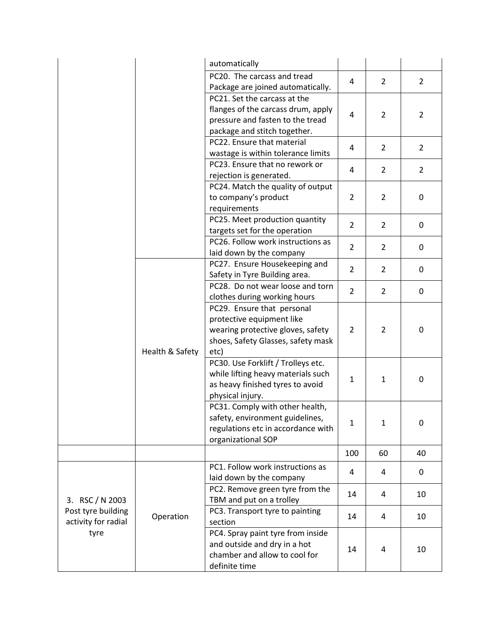|                     |                 | automatically                                            |                |                |                  |
|---------------------|-----------------|----------------------------------------------------------|----------------|----------------|------------------|
|                     |                 | PC20. The carcass and tread                              | 4              | $\overline{2}$ | $\overline{2}$   |
|                     |                 | Package are joined automatically.                        |                |                |                  |
|                     |                 | PC21. Set the carcass at the                             |                |                |                  |
|                     |                 | flanges of the carcass drum, apply                       | 4              | $\overline{2}$ | $\overline{2}$   |
|                     |                 | pressure and fasten to the tread                         |                |                |                  |
|                     |                 | package and stitch together.                             |                |                |                  |
|                     |                 | PC22. Ensure that material                               | 4              | $\overline{2}$ | $\overline{2}$   |
|                     |                 | wastage is within tolerance limits                       |                |                |                  |
|                     |                 | PC23. Ensure that no rework or                           | $\overline{4}$ | $\overline{2}$ | $\overline{2}$   |
|                     |                 | rejection is generated.                                  |                |                |                  |
|                     |                 | PC24. Match the quality of output                        |                |                |                  |
|                     |                 | to company's product                                     | $\overline{2}$ | $\overline{2}$ | $\mathbf 0$      |
|                     |                 | requirements                                             |                |                |                  |
|                     |                 | PC25. Meet production quantity                           | $\overline{2}$ | $\overline{2}$ | $\boldsymbol{0}$ |
|                     |                 | targets set for the operation                            |                |                |                  |
|                     |                 | PC26. Follow work instructions as                        | $\overline{2}$ | $\overline{2}$ | $\mathbf 0$      |
|                     |                 | laid down by the company                                 |                |                |                  |
|                     |                 | PC27. Ensure Housekeeping and                            | $\overline{2}$ | $\overline{2}$ | $\mathbf 0$      |
|                     |                 | Safety in Tyre Building area.                            |                |                |                  |
|                     |                 | PC28. Do not wear loose and torn                         | $\overline{2}$ | $\overline{2}$ | $\mathbf 0$      |
|                     |                 | clothes during working hours                             |                |                |                  |
|                     |                 | PC29. Ensure that personal                               |                |                |                  |
|                     |                 | protective equipment like                                | 2              | $\overline{2}$ | 0                |
|                     |                 | wearing protective gloves, safety                        |                |                |                  |
|                     |                 | shoes, Safety Glasses, safety mask                       |                |                |                  |
|                     | Health & Safety | etc)                                                     |                |                |                  |
|                     |                 | PC30. Use Forklift / Trolleys etc.                       |                |                |                  |
|                     |                 | while lifting heavy materials such                       | $\mathbf 1$    | $\mathbf{1}$   | 0                |
|                     |                 | as heavy finished tyres to avoid                         |                |                |                  |
|                     |                 | physical injury.                                         |                |                |                  |
|                     |                 | PC31. Comply with other health,                          |                |                |                  |
|                     |                 | safety, environment guidelines,                          | 1              | $\mathbf{1}$   | 0                |
|                     |                 | regulations etc in accordance with<br>organizational SOP |                |                |                  |
|                     |                 |                                                          |                |                |                  |
|                     |                 |                                                          | 100            | 60             | 40               |
|                     |                 | PC1. Follow work instructions as                         | 4              | 4              | 0                |
| 3. RSC / N 2003     |                 | laid down by the company                                 |                |                |                  |
|                     |                 | PC2. Remove green tyre from the                          | 14             | 4              | 10               |
|                     |                 | TBM and put on a trolley                                 |                |                |                  |
| Post tyre building  | Operation       | PC3. Transport tyre to painting                          | 14             | 4              | 10               |
| activity for radial |                 | section                                                  |                |                |                  |
| tyre                |                 | PC4. Spray paint tyre from inside                        |                |                |                  |
|                     |                 | and outside and dry in a hot                             | 14             | 4              | 10               |
|                     |                 | chamber and allow to cool for                            |                |                |                  |
|                     |                 | definite time                                            |                |                |                  |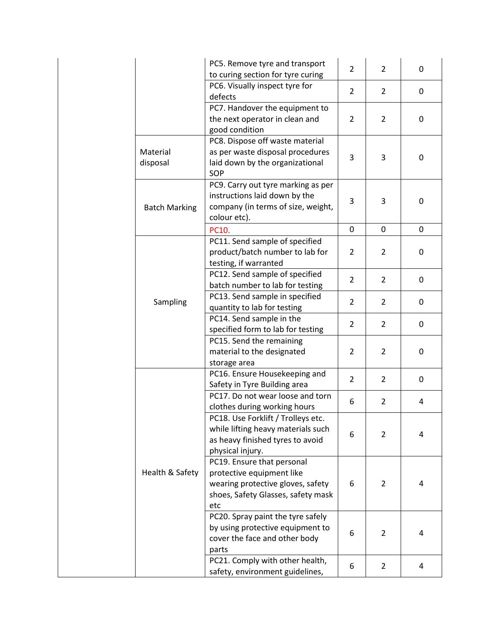|                      | PC5. Remove tyre and transport<br>to curing section for tyre curing                                                                       | $\overline{2}$ | $\overline{2}$ | 0           |
|----------------------|-------------------------------------------------------------------------------------------------------------------------------------------|----------------|----------------|-------------|
|                      | PC6. Visually inspect tyre for<br>defects                                                                                                 | $\overline{2}$ | $\overline{2}$ | 0           |
|                      | PC7. Handover the equipment to<br>the next operator in clean and<br>good condition                                                        | 2              | $\overline{2}$ | 0           |
| Material<br>disposal | PC8. Dispose off waste material<br>as per waste disposal procedures<br>laid down by the organizational<br>SOP                             | 3              | 3              | 0           |
| <b>Batch Marking</b> | PC9. Carry out tyre marking as per<br>instructions laid down by the<br>company (in terms of size, weight,<br>colour etc).                 | 3              | 3              | 0           |
|                      | PC10.                                                                                                                                     | $\mathbf 0$    | 0              | $\mathbf 0$ |
|                      | PC11. Send sample of specified<br>product/batch number to lab for<br>testing, if warranted                                                | $\overline{2}$ | $\overline{2}$ | 0           |
| Sampling             | PC12. Send sample of specified<br>batch number to lab for testing                                                                         | $\overline{2}$ | $\overline{2}$ | 0           |
|                      | PC13. Send sample in specified<br>quantity to lab for testing                                                                             | $\overline{2}$ | $\overline{2}$ | 0           |
|                      | PC14. Send sample in the<br>specified form to lab for testing                                                                             | $\overline{2}$ | $\overline{2}$ | 0           |
|                      | PC15. Send the remaining<br>material to the designated<br>storage area                                                                    | 2              | $\overline{2}$ | 0           |
|                      | PC16. Ensure Housekeeping and<br>Safety in Tyre Building area                                                                             | $\overline{2}$ | $\overline{2}$ | 0           |
|                      | PC17. Do not wear loose and torn<br>clothes during working hours                                                                          | 6              | $\overline{2}$ | 4           |
|                      | PC18. Use Forklift / Trolleys etc.<br>while lifting heavy materials such<br>as heavy finished tyres to avoid<br>physical injury.          | 6              | $\overline{2}$ | 4           |
| Health & Safety      | PC19. Ensure that personal<br>protective equipment like<br>wearing protective gloves, safety<br>shoes, Safety Glasses, safety mask<br>etc | 6              | $\overline{2}$ | 4           |
|                      | PC20. Spray paint the tyre safely<br>by using protective equipment to<br>cover the face and other body<br>parts                           | 6              | $\overline{2}$ | 4           |
|                      | PC21. Comply with other health,<br>safety, environment guidelines,                                                                        | 6              | $\overline{2}$ | 4           |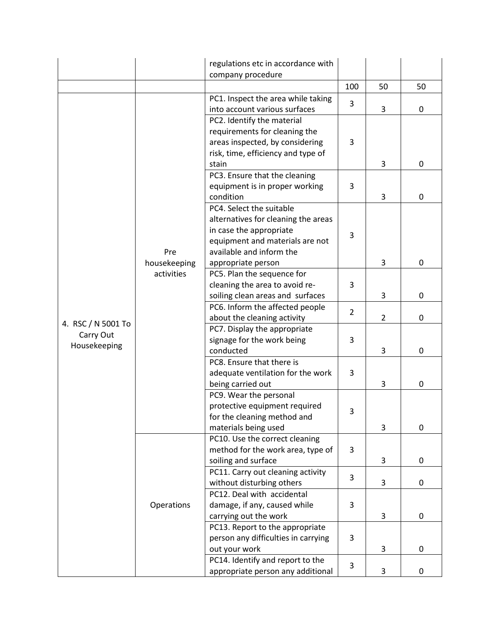|                           |              | regulations etc in accordance with<br>company procedure        |                |                |              |
|---------------------------|--------------|----------------------------------------------------------------|----------------|----------------|--------------|
|                           |              |                                                                | 100            | 50             | 50           |
|                           |              | PC1. Inspect the area while taking                             |                |                |              |
|                           |              | into account various surfaces                                  | 3              | 3              | $\mathbf 0$  |
|                           |              | PC2. Identify the material                                     |                |                |              |
|                           |              | requirements for cleaning the                                  |                |                |              |
|                           |              | areas inspected, by considering                                | 3              |                |              |
|                           |              | risk, time, efficiency and type of                             |                |                |              |
|                           |              | stain                                                          |                | 3              | 0            |
|                           |              | PC3. Ensure that the cleaning                                  |                |                |              |
|                           |              | equipment is in proper working                                 | 3              |                |              |
|                           |              | condition                                                      |                | 3              | 0            |
|                           |              | PC4. Select the suitable                                       |                |                |              |
|                           |              | alternatives for cleaning the areas<br>in case the appropriate |                |                |              |
|                           |              | equipment and materials are not                                | 3              |                |              |
|                           | Pre          | available and inform the                                       |                |                |              |
|                           | housekeeping | appropriate person                                             |                | 3              | 0            |
|                           | activities   | PC5. Plan the sequence for                                     |                |                |              |
|                           |              | cleaning the area to avoid re-                                 | 3              |                |              |
|                           |              | soiling clean areas and surfaces                               |                | 3              | 0            |
|                           |              | PC6. Inform the affected people                                |                |                |              |
|                           |              | about the cleaning activity                                    | $\overline{2}$ | $\overline{2}$ | 0            |
| 4. RSC / N 5001 To        |              | PC7. Display the appropriate                                   |                |                |              |
| Carry Out<br>Housekeeping |              | signage for the work being                                     | 3              |                |              |
|                           |              | conducted                                                      |                | 3              | $\mathbf{0}$ |
|                           |              | PC8. Ensure that there is                                      |                |                |              |
|                           |              | adequate ventilation for the work                              | 3              |                |              |
|                           |              | being carried out                                              |                | 3              | 0            |
|                           |              | PC9. Wear the personal                                         |                |                |              |
|                           |              | protective equipment required                                  | 3              |                |              |
|                           |              | for the cleaning method and                                    |                | 3              | 0            |
|                           |              | materials being used<br>PC10. Use the correct cleaning         |                |                |              |
|                           |              | method for the work area, type of                              | 3              |                |              |
|                           |              | soiling and surface                                            |                | 3              | 0            |
|                           |              | PC11. Carry out cleaning activity                              |                |                |              |
|                           |              | without disturbing others                                      | 3              | 3              | $\mathbf 0$  |
|                           |              | PC12. Deal with accidental                                     |                |                |              |
|                           | Operations   | damage, if any, caused while                                   | 3              |                |              |
|                           |              | carrying out the work                                          |                | 3              | 0            |
|                           |              | PC13. Report to the appropriate                                |                |                |              |
|                           |              | person any difficulties in carrying                            | 3              |                |              |
|                           |              | out your work                                                  |                | 3              | 0            |
|                           |              | PC14. Identify and report to the                               | 3              |                |              |
|                           |              | appropriate person any additional                              |                | 3              | 0            |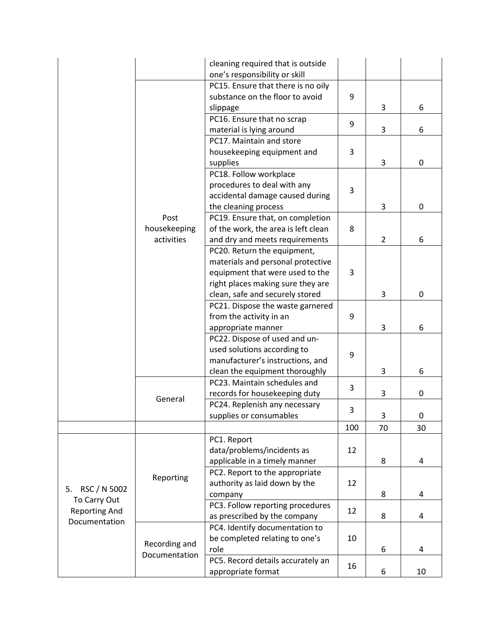|                                      |               | cleaning required that is outside<br>one's responsibility or skill |     |                |             |
|--------------------------------------|---------------|--------------------------------------------------------------------|-----|----------------|-------------|
|                                      |               | PC15. Ensure that there is no oily                                 |     |                |             |
|                                      |               | substance on the floor to avoid                                    | 9   |                |             |
|                                      |               | slippage                                                           |     | 3              | 6           |
|                                      |               | PC16. Ensure that no scrap                                         |     |                |             |
|                                      |               | material is lying around                                           | 9   | 3              | 6           |
|                                      |               | PC17. Maintain and store                                           |     |                |             |
|                                      |               | housekeeping equipment and                                         | 3   |                |             |
|                                      |               | supplies                                                           |     | 3              | 0           |
|                                      |               | PC18. Follow workplace                                             |     |                |             |
|                                      |               | procedures to deal with any                                        |     |                |             |
|                                      |               | accidental damage caused during                                    | 3   |                |             |
|                                      |               | the cleaning process                                               |     | 3              | 0           |
|                                      | Post          | PC19. Ensure that, on completion                                   |     |                |             |
|                                      | housekeeping  | of the work, the area is left clean                                | 8   |                |             |
|                                      | activities    | and dry and meets requirements                                     |     | $\overline{2}$ | 6           |
|                                      |               | PC20. Return the equipment,                                        |     |                |             |
|                                      |               | materials and personal protective                                  |     |                |             |
|                                      |               | equipment that were used to the                                    | 3   |                |             |
|                                      |               | right places making sure they are                                  |     |                |             |
|                                      |               | clean, safe and securely stored                                    |     | 3              | $\mathbf 0$ |
|                                      |               | PC21. Dispose the waste garnered                                   |     |                |             |
|                                      |               | from the activity in an                                            | 9   |                |             |
|                                      |               | appropriate manner                                                 |     | 3              | 6           |
|                                      |               | PC22. Dispose of used and un-                                      |     |                |             |
|                                      |               | used solutions according to                                        | 9   |                |             |
|                                      |               | manufacturer's instructions, and                                   |     |                |             |
|                                      |               | clean the equipment thoroughly                                     |     | 3              | 6           |
|                                      |               | PC23. Maintain schedules and                                       | 3   |                |             |
|                                      | General       | records for housekeeping duty                                      |     | 3              | 0           |
|                                      |               | PC24. Replenish any necessary                                      | 3   |                |             |
|                                      |               | supplies or consumables                                            |     | 3              | 0           |
|                                      |               |                                                                    | 100 | 70             | 30          |
|                                      |               | PC1. Report                                                        |     |                |             |
|                                      |               | data/problems/incidents as                                         | 12  |                |             |
|                                      |               | applicable in a timely manner                                      |     | 8              | 4           |
|                                      | Reporting     | PC2. Report to the appropriate                                     |     |                |             |
| RSC / N 5002<br>5.                   |               | authority as laid down by the                                      | 12  |                |             |
| To Carry Out<br><b>Reporting And</b> |               | company                                                            |     | 8              | 4           |
|                                      |               | PC3. Follow reporting procedures                                   | 12  |                |             |
| Documentation                        |               | as prescribed by the company                                       |     | 8              | 4           |
|                                      |               | PC4. Identify documentation to                                     |     |                |             |
|                                      | Recording and | be completed relating to one's                                     | 10  |                |             |
|                                      | Documentation | role                                                               |     | 6              | 4           |
|                                      |               | PC5. Record details accurately an                                  | 16  |                |             |
|                                      |               | appropriate format                                                 |     | 6              | 10          |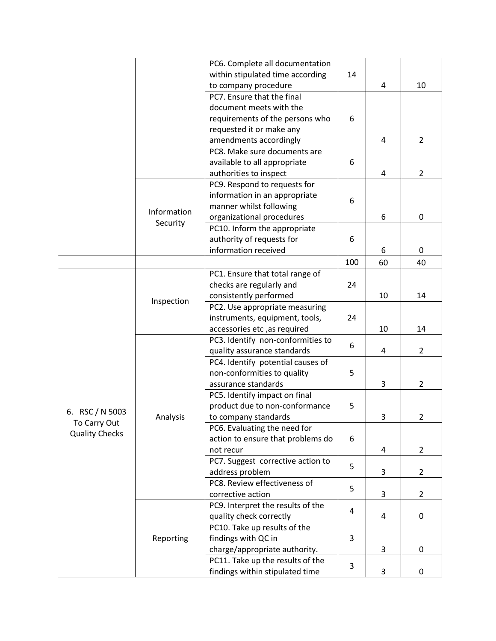|                                       |                         | PC6. Complete all documentation   |                |                |                |
|---------------------------------------|-------------------------|-----------------------------------|----------------|----------------|----------------|
|                                       |                         | within stipulated time according  | 14             |                |                |
|                                       |                         | to company procedure              |                | 4              | 10             |
|                                       |                         | PC7. Ensure that the final        |                |                |                |
|                                       |                         | document meets with the           |                |                |                |
|                                       |                         | requirements of the persons who   | 6              |                |                |
|                                       |                         | requested it or make any          |                |                |                |
|                                       |                         | amendments accordingly            |                | $\overline{4}$ | $\overline{2}$ |
|                                       |                         | PC8. Make sure documents are      |                |                |                |
|                                       |                         | available to all appropriate      | 6              |                |                |
|                                       |                         | authorities to inspect            |                | 4              | $\overline{2}$ |
|                                       |                         | PC9. Respond to requests for      |                |                |                |
|                                       | Information<br>Security | information in an appropriate     | 6              |                |                |
|                                       |                         | manner whilst following           |                |                |                |
|                                       |                         | organizational procedures         |                | 6              | $\mathbf 0$    |
|                                       |                         | PC10. Inform the appropriate      |                |                |                |
|                                       |                         | authority of requests for         | 6              |                |                |
|                                       |                         | information received              |                | 6              | $\mathbf 0$    |
|                                       |                         |                                   | 100            | 60             | 40             |
|                                       |                         | PC1. Ensure that total range of   |                |                |                |
|                                       |                         | checks are regularly and          | 24             |                |                |
|                                       | Inspection              | consistently performed            |                | 10             | 14             |
|                                       |                         | PC2. Use appropriate measuring    |                |                |                |
|                                       |                         | instruments, equipment, tools,    | 24             |                |                |
|                                       |                         | accessories etc, as required      |                | 10             | 14             |
|                                       | Analysis                | PC3. Identify non-conformities to | 6              |                |                |
|                                       |                         | quality assurance standards       |                | 4              | $\overline{2}$ |
|                                       |                         | PC4. Identify potential causes of |                |                |                |
|                                       |                         | non-conformities to quality       | 5              |                |                |
|                                       |                         | assurance standards               |                | 3              | $\overline{2}$ |
|                                       |                         | PC5. Identify impact on final     |                |                |                |
|                                       |                         | product due to non-conformance    | 5              |                |                |
| 6. RSC / N 5003                       |                         | to company standards              |                | 3              | 2              |
| To Carry Out<br><b>Quality Checks</b> |                         | PC6. Evaluating the need for      |                |                |                |
|                                       |                         | action to ensure that problems do | 6              |                |                |
|                                       |                         | not recur                         |                | $\overline{4}$ | $\overline{2}$ |
|                                       |                         | PC7. Suggest corrective action to | 5              |                |                |
|                                       |                         | address problem                   |                | 3              | $\overline{2}$ |
|                                       |                         | PC8. Review effectiveness of      | 5              |                |                |
|                                       |                         | corrective action                 |                | 3              | $\overline{2}$ |
|                                       | Reporting               | PC9. Interpret the results of the | $\overline{4}$ |                |                |
|                                       |                         | quality check correctly           |                | $\overline{4}$ | 0              |
|                                       |                         | PC10. Take up results of the      | 3              |                |                |
|                                       |                         | findings with QC in               |                |                |                |
|                                       |                         | charge/appropriate authority.     |                | 3              | 0              |
|                                       |                         | PC11. Take up the results of the  | 3              |                |                |
|                                       |                         | findings within stipulated time   |                | 3              | 0              |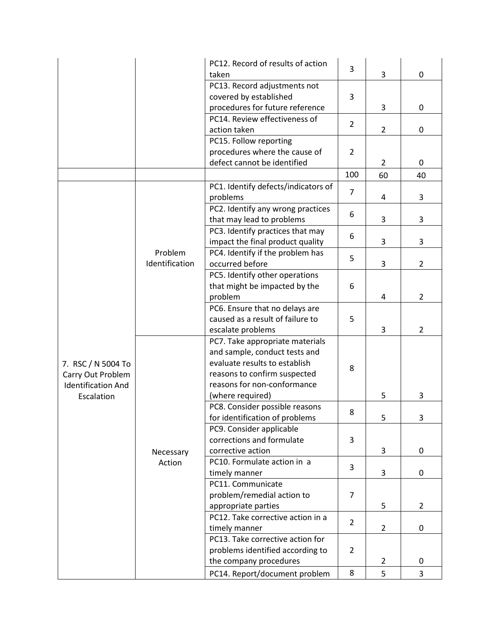|                           |                     | PC12. Record of results of action   |                |                |                |
|---------------------------|---------------------|-------------------------------------|----------------|----------------|----------------|
|                           |                     | taken                               | 3              | 3              | $\mathbf 0$    |
|                           |                     | PC13. Record adjustments not        |                |                |                |
|                           |                     | covered by established              | 3              |                |                |
|                           |                     | procedures for future reference     |                | 3              | $\pmb{0}$      |
|                           |                     | PC14. Review effectiveness of       |                |                |                |
|                           |                     | action taken                        | $\overline{2}$ | $\overline{2}$ | $\pmb{0}$      |
|                           |                     | PC15. Follow reporting              |                |                |                |
|                           |                     | procedures where the cause of       | $\overline{2}$ |                |                |
|                           |                     | defect cannot be identified         |                | $\overline{2}$ | 0              |
|                           |                     |                                     | 100            | 60             | 40             |
|                           |                     | PC1. Identify defects/indicators of |                |                |                |
|                           |                     | problems                            | 7              | 4              | 3              |
|                           |                     | PC2. Identify any wrong practices   |                |                |                |
|                           |                     | that may lead to problems           | 6              | 3              | 3              |
|                           |                     | PC3. Identify practices that may    |                |                |                |
|                           |                     | impact the final product quality    | 6              | 3              | 3              |
|                           | Problem             | PC4. Identify if the problem has    |                |                |                |
|                           | Identification      | occurred before                     | 5              | 3              | $\overline{2}$ |
|                           |                     | PC5. Identify other operations      |                |                |                |
|                           |                     | that might be impacted by the       | 6              |                |                |
|                           |                     | problem                             |                | 4              | $\overline{2}$ |
|                           |                     | PC6. Ensure that no delays are      |                |                |                |
|                           |                     | caused as a result of failure to    | 5              |                |                |
|                           |                     | escalate problems                   |                | 3              | $\overline{2}$ |
|                           |                     | PC7. Take appropriate materials     |                |                |                |
|                           |                     | and sample, conduct tests and       |                |                |                |
| 7. RSC / N 5004 To        |                     | evaluate results to establish       | 8              |                |                |
| Carry Out Problem         |                     | reasons to confirm suspected        |                |                |                |
| <b>Identification And</b> | Necessary<br>Action | reasons for non-conformance         |                |                |                |
| Escalation                |                     | (where required)                    |                | 5              | 3              |
|                           |                     | PC8. Consider possible reasons      | 8              |                |                |
|                           |                     | for identification of problems      |                | 5              | 3              |
|                           |                     | PC9. Consider applicable            |                |                |                |
|                           |                     | corrections and formulate           | 3              |                |                |
|                           |                     | corrective action                   |                | 3              | 0              |
|                           |                     | PC10. Formulate action in a         | 3              |                |                |
|                           |                     | timely manner                       |                | 3              | $\mathbf 0$    |
|                           |                     | PC11. Communicate                   |                |                |                |
|                           |                     | problem/remedial action to          | 7              |                |                |
|                           |                     | appropriate parties                 |                | 5              | $\overline{2}$ |
|                           |                     | PC12. Take corrective action in a   | $\overline{2}$ |                |                |
|                           |                     | timely manner                       |                | $\overline{2}$ | $\mathbf 0$    |
|                           |                     | PC13. Take corrective action for    |                |                |                |
|                           |                     | problems identified according to    | $\overline{2}$ |                |                |
|                           |                     | the company procedures              |                | $\overline{2}$ | 0              |
|                           |                     | PC14. Report/document problem       | 8              | 5              | 3              |